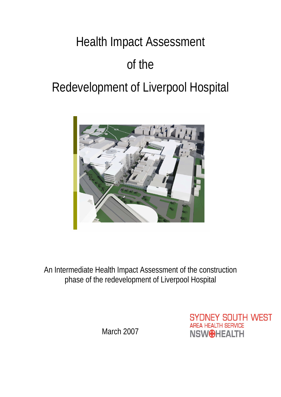# Health Impact Assessment of the Redevelopment of Liverpool Hospital



An Intermediate Health Impact Assessment of the construction phase of the redevelopment of Liverpool Hospital

March 2007

**SYDNEY SOUTH WEST AREA HEALTH SERVICE NSW**OHEALTH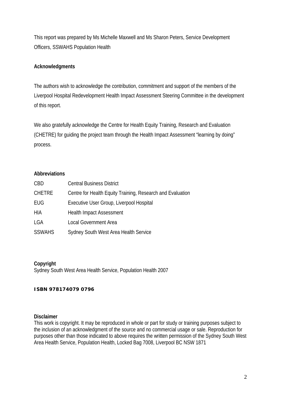This report was prepared by Ms Michelle Maxwell and Ms Sharon Peters, Service Development Officers, SSWAHS Population Health

# **Acknowledgments**

The authors wish to acknowledge the contribution, commitment and support of the members of the Liverpool Hospital Redevelopment Health Impact Assessment Steering Committee in the development of this report.

We also gratefully acknowledge the Centre for Health Equity Training, Research and Evaluation (CHETRE) for guiding the project team through the Health Impact Assessment "learning by doing" process.

#### **Abbreviations**

| <b>CBD</b>    | <b>Central Business District</b>                           |
|---------------|------------------------------------------------------------|
| <b>CHETRE</b> | Centre for Health Equity Training, Research and Evaluation |
| EUG           | Executive User Group, Liverpool Hospital                   |
| HIA           | <b>Health Impact Assessment</b>                            |
| <b>LGA</b>    | <b>Local Government Area</b>                               |
| <b>SSWAHS</b> | Sydney South West Area Health Service                      |

#### **Copyright**

Sydney South West Area Health Service, Population Health 2007

#### *ISBN 978174079 0796*

#### **Disclaimer**

This work is copyright. It may be reproduced in whole or part for study or training purposes subject to the inclusion of an acknowledgment of the source and no commercial usage or sale. Reproduction for purposes other than those indicated to above requires the written permission of the Sydney South West Area Health Service, Population Health, Locked Bag 7008, Liverpool BC NSW 1871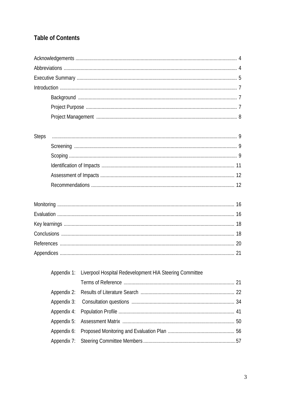# **Table of Contents**

| <b>Steps</b> |                                                         |  |
|--------------|---------------------------------------------------------|--|
|              |                                                         |  |
|              |                                                         |  |
|              |                                                         |  |
|              |                                                         |  |
|              |                                                         |  |
|              |                                                         |  |
|              |                                                         |  |
|              |                                                         |  |
|              |                                                         |  |
|              |                                                         |  |
|              |                                                         |  |
| Appendix 1:  | Liverpool Hospital Redevelopment HIA Steering Committee |  |
|              |                                                         |  |
| Appendix 2:  |                                                         |  |
| Appendix 3:  |                                                         |  |
| Appendix 4:  |                                                         |  |
| Appendix 5:  |                                                         |  |
| Appendix 6:  |                                                         |  |
| Appendix 7:  |                                                         |  |
|              |                                                         |  |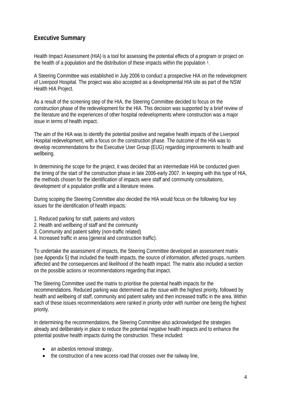# **Executive Summary**

Health Impact Assessment (HIA) is a tool for assessing the potential effects of a program or project on the health of a population and the distribution of these impacts within the population  $1$ .

A Steering Committee was established in July 2006 to conduct a prospective HIA on the redevelopment of Liverpool Hospital. The project was also accepted as a developmental HIA site as part of the NSW Health HIA Project.

As a result of the screening step of the HIA, the Steering Committee decided to focus on the construction phase of the redevelopment for the HIA. This decision was supported by a brief review of the literature and the experiences of other hospital redevelopments where construction was a major issue in terms of health impact.

The aim of the HIA was to identify the potential positive and negative health impacts of the Liverpool Hospital redevelopment, with a focus on the construction phase. The outcome of the HIA was to develop recommendations for the Executive User Group (EUG) regarding improvements to health and wellbeing.

In determining the scope for the project, it was decided that an intermediate HIA be conducted given the timing of the start of the construction phase in late 2006-early 2007. In keeping with this type of HIA, the methods chosen for the identification of impacts were staff and community consultations, development of a population profile and a literature review.

During scoping the Steering Committee also decided the HIA would focus on the following four key issues for the identification of health impacts:

- 1. Reduced parking for staff, patients and visitors
- 2. Health and wellbeing of staff and the community
- 3. Community and patient safety (non-traffic related)
- 4. Increased traffic in area (general and construction traffic).

To undertake the assessment of impacts, the Steering Committee developed an assessment matrix (see Appendix 5) that included the health impacts, the source of information, affected groups, numbers affected and the consequences and likelihood of the health impact. The matrix also included a section on the possible actions or recommendations regarding that impact.

The Steering Committee used the matrix to prioritise the potential health impacts for the recommendations. Reduced parking was determined as the issue with the highest priority, followed by health and wellbeing of staff, community and patient safety and then increased traffic in the area. Within each of these issues recommendations were ranked in priority order with number one being the highest priority.

In determining the recommendations, the Steering Committee also acknowledged the strategies already and deliberately in place to reduce the potential negative health impacts and to enhance the potential positive health impacts during the construction. These included:

- an asbestos removal strategy,
- the construction of a new access road that crosses over the railway line,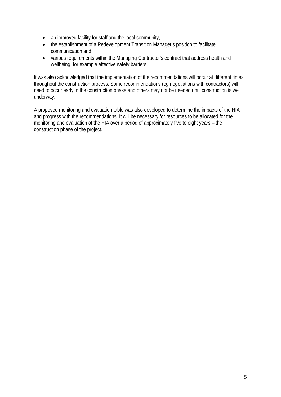- an improved facility for staff and the local community,
- the establishment of a Redevelopment Transition Manager's position to facilitate communication and
- various requirements within the Managing Contractor's contract that address health and wellbeing, for example effective safety barriers.

It was also acknowledged that the implementation of the recommendations will occur at different times throughout the construction process. Some recommendations (eg negotiations with contractors) will need to occur early in the construction phase and others may not be needed until construction is well underway.

A proposed monitoring and evaluation table was also developed to determine the impacts of the HIA and progress with the recommendations. It will be necessary for resources to be allocated for the monitoring and evaluation of the HIA over a period of approximately five to eight years – the construction phase of the project.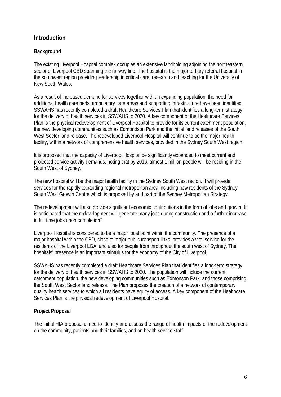# **Introduction**

## **Background**

The existing Liverpool Hospital complex occupies an extensive landholding adjoining the northeastern sector of Liverpool CBD spanning the railway line. The hospital is the major tertiary referral hospital in the southwest region providing leadership in critical care, research and teaching for the University of New South Wales.

As a result of increased demand for services together with an expanding population, the need for additional health care beds, ambulatory care areas and supporting infrastructure have been identified. SSWAHS has recently completed a draft Healthcare Services Plan that identifies a long-term strategy for the delivery of health services in SSWAHS to 2020. A key component of the Healthcare Services Plan is the physical redevelopment of Liverpool Hospital to provide for its current catchment population, the new developing communities such as Edmondson Park and the initial land releases of the South West Sector land release. The redeveloped Liverpool Hospital will continue to be the major health facility, within a network of comprehensive health services, provided in the Sydney South West region.

It is proposed that the capacity of Liverpool Hospital be significantly expanded to meet current and projected service activity demands, noting that by 2016, almost 1 million people will be residing in the South West of Sydney.

The new hospital will be the major health facility in the Sydney South West region. It will provide services for the rapidly expanding regional metropolitan area including new residents of the Sydney South West Growth Centre which is proposed by and part of the Sydney Metropolitan Strategy.

The redevelopment will also provide significant economic contributions in the form of jobs and growth. It is anticipated that the redevelopment will generate many jobs during construction and a further increase in full time jobs upon completion $2$ .

Liverpool Hospital is considered to be a major focal point within the community. The presence of a major hospital within the CBD, close to major public transport links, provides a vital service for the residents of the Liverpool LGA, and also for people from throughout the south west of Sydney. The hospitals' presence is an important stimulus for the economy of the City of Liverpool.

SSWAHS has recently completed a draft Healthcare Services Plan that identifies a long-term strategy for the delivery of health services in SSWAHS to 2020. The population will include the current catchment population, the new developing communities such as Edmonson Park, and those comprising the South West Sector land release. The Plan proposes the creation of a network of contemporary quality health services to which all residents have equity of access. A key component of the Healthcare Services Plan is the physical redevelopment of Liverpool Hospital.

#### **Project Proposal**

The initial HIA proposal aimed to identify and assess the range of health impacts of the redevelopment on the community, patients and their families, and on health service staff.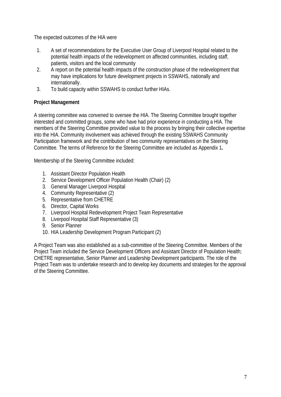The expected outcomes of the HIA were

- 1. A set of recommendations for the Executive User Group of Liverpool Hospital related to the potential health impacts of the redevelopment on affected communities, including staff, patients, visitors and the local community
- 2. A report on the potential health impacts of the construction phase of the redevelopment that may have implications for future development projects in SSWAHS, nationally and internationally.
- 3. To build capacity within SSWAHS to conduct further HIAs.

# **Project Management**

A steering committee was convened to oversee the HIA. The Steering Committee brought together interested and committed groups, some who have had prior experience in conducting a HIA. The members of the Steering Committee provided value to the process by bringing their collective expertise into the HIA. Community involvement was achieved through the existing SSWAHS Community Participation framework and the contribution of two community representatives on the Steering Committee. The terms of Reference for the Steering Committee are included as Appendix 1**.**

Membership of the Steering Committee included:

- 1. Assistant Director Population Health
- 2. Service Development Officer Population Health (Chair) (2)
- 3. General Manager Liverpool Hospital
- 4. Community Representative (2)
- 5. Representative from CHETRE
- 6. Director, Capital Works
- 7. Liverpool Hospital Redevelopment Project Team Representative
- 8. Liverpool Hospital Staff Representative (3)
- 9. Senior Planner
- 10. HIA Leadership Development Program Participant (2)

A Project Team was also established as a sub-committee of the Steering Committee. Members of the Project Team included the Service Development Officers and Assistant Director of Population Health; CHETRE representative, Senior Planner and Leadership Development participants. The role of the Project Team was to undertake research and to develop key documents and strategies for the approval of the Steering Committee.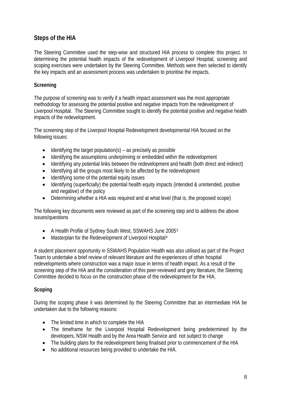# **Steps of the HIA**

The Steering Committee used the step-wise and structured HIA process to complete this project. In determining the potential health impacts of the redevelopment of Liverpool Hospital, screening and scoping exercises were undertaken by the Steering Committee. Methods were then selected to identify the key impacts and an assessment process was undertaken to prioritise the impacts.

## **Screening**

The purpose of screening was to verify if a health impact assessment was the most appropriate methodology for assessing the potential positive and negative impacts from the redevelopment of Liverpool Hospital. The Steering Committee sought to identify the potential positive and negative health impacts of the redevelopment.

The screening step of the Liverpool Hospital Redevelopment developmental HIA focused on the following issues:

- $\bullet$  Identifying the target population(s) as precisely as possible
- Identifying the assumptions underpinning or embedded within the redevelopment
- Identifying any potential links between the redevelopment and health (both direct and indirect)
- Identifying all the groups most likely to be affected by the redevelopment
- Identifying some of the potential equity issues
- Identifying (superficially) the potential health equity impacts (intended & unintended, positive and negative) of the policy
- Determining whether a HIA was required and at what level (that is, the proposed scope)

The following key documents were reviewed as part of the screening step and to address the above issues/questions

- A Health Profile of Sydney South West, SSWAHS June 2005[3](#page-56-1)
- Masterplan for the Redevelopment of Liverpool Hospital<sup>[4](#page-56-1)</sup>

A student placement opportunity in SSWAHS Population Health was also utilised as part of the Project Team to undertake a brief review of relevant literature and the experiences of other hospital redevelopments where construction was a major issue in terms of health impact. As a result of the screening step of the HIA and the consideration of this peer-reviewed and grey literature, the Steering Committee decided to focus on the construction phase of the redevelopment for the HIA.

# **Scoping**

During the scoping phase it was determined by the Steering Committee that an intermediate HIA be undertaken due to the following reasons:

- The limited time in which to complete the HIA
- The timeframe for the Liverpool Hospital Redevelopment being predetermined by the developers, NSW Health and by the Area Health Service and not subject to change
- The building plans for the redevelopment being finalised prior to commencement of the HIA
- No additional resources being provided to undertake the HIA.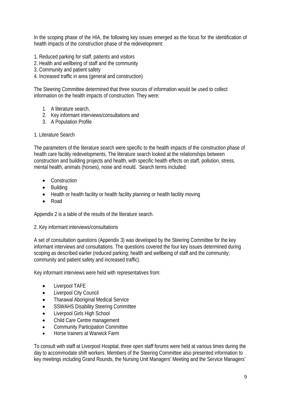In the scoping phase of the HIA, the following key issues emerged as the focus for the identification of health impacts of the construction phase of the redevelopment:

- 1. Reduced parking for staff, patients and visitors
- 2. Health and wellbeing of staff and the community
- 3. Community and patient safety
- 4. Increased traffic in area (general and construction)

The Steering Committee determined that three sources of information would be used to collect information on the health impacts of construction. They were:

- 1. A literature search,
- 2. Key informant interviews/consultations and
- 3. A Population Profile

#### 1. Literature Search

The parameters of the literature search were specific to the health impacts of the construction phase of health care facility redevelopments. The literature search looked at the relationships between construction and building projects and health, with specific health effects on staff, pollution, stress, mental health, animals (horses), noise and mould. Search terms included:

- Construction
- Building
- Health or health facility or health facility planning or health facility moving
- Road

Appendix 2 is a table of the results of the literature search.

#### 2. Key informant interviews/consultations

A set of consultation questions (Appendix 3) was developed by the Steering Committee for the key informant interviews and consultations. The questions covered the four key issues determined during scoping as described earlier (reduced parking; health and wellbeing of staff and the community; community and patient safety and increased traffic).

Key informant interviews were held with representatives from:

- Liverpool TAFE
- Liverpool City Council
- Tharawal Aboriginal Medical Service
- SSWAHS Disability Steering Committee
- Liverpool Girls High School
- Child Care Centre management
- Community Participation Committee
- Horse trainers at Warwick Farm

To consult with staff at Liverpool Hospital, three open staff forums were held at various times during the day to accommodate shift workers. Members of the Steering Committee also presented information to key meetings including Grand Rounds, the Nursing Unit Managers' Meeting and the Service Managers'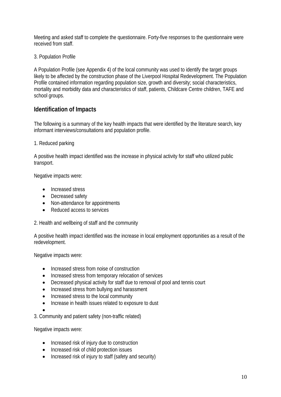Meeting and asked staff to complete the questionnaire. Forty-five responses to the questionnaire were received from staff.

3. Population Profile

A Population Profile (see Appendix 4) of the local community was used to identify the target groups likely to be affected by the construction phase of the Liverpool Hospital Redevelopment. The Population Profile contained information regarding population size, growth and diversity; social characteristics, mortality and morbidity data and characteristics of staff, patients, Childcare Centre children, TAFE and school groups.

# **Identification of Impacts**

The following is a summary of the key health impacts that were identified by the literature search, key informant interviews/consultations and population profile.

1. Reduced parking

A positive health impact identified was the increase in physical activity for staff who utilized public transport.

Negative impacts were:

- Increased stress
- Decreased safety
- Non-attendance for appointments
- Reduced access to services

2. Health and wellbeing of staff and the community

A positive health impact identified was the increase in local employment opportunities as a result of the redevelopment.

Negative impacts were:

- Increased stress from noise of construction
- Increased stress from temporary relocation of services
- Decreased physical activity for staff due to removal of pool and tennis court
- Increased stress from bullying and harassment
- Increased stress to the local community
- Increase in health issues related to exposure to dust
- •

3. Community and patient safety (non-traffic related)

Negative impacts were:

- Increased risk of injury due to construction
- Increased risk of child protection issues
- Increased risk of injury to staff (safety and security)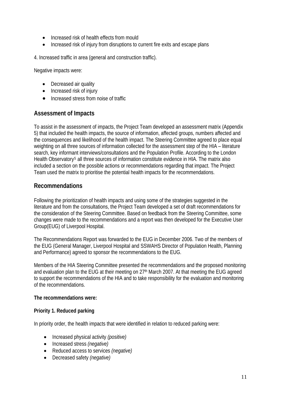- Increased risk of health effects from mould
- Increased risk of injury from disruptions to current fire exits and escape plans

4. Increased traffic in area (general and construction traffic).

Negative impacts were:

- Decreased air quality
- Increased risk of injury
- Increased stress from noise of traffic

# **Assessment of Impacts**

To assist in the assessment of impacts, the Project Team developed an assessment matrix (Appendix 5) that included the health impacts, the source of information, affected groups, numbers affected and the consequences and likelihood of the health impact. The Steering Committee agreed to place equal weighting on all three sources of information collected for the assessment step of the HIA – literature search, key informant interviews/consultations and the Population Profile. According to the London Health Observatory<sup>[5](#page-56-1)</sup> all three sources of information constitute evidence in HIA. The matrix also included a section on the possible actions or recommendations regarding that impact. The Project Team used the matrix to prioritise the potential health impacts for the recommendations.

# **Recommendations**

Following the prioritization of health impacts and using some of the strategies suggested in the literature and from the consultations, the Project Team developed a set of draft recommendations for the consideration of the Steering Committee. Based on feedback from the Steering Committee, some changes were made to the recommendations and a report was then developed for the Executive User Group(EUG) of Liverpool Hospital.

The Recommendations Report was forwarded to the EUG in December 2006. Two of the members of the EUG (General Manager, Liverpool Hospital and SSWAHS Director of Population Health, Planning and Performance) agreed to sponsor the recommendations to the EUG.

Members of the HIA Steering Committee presented the recommendations and the proposed monitoring and evaluation plan to the EUG at their meeting on 27<sup>th</sup> March 2007. At that meeting the EUG agreed to support the recommendations of the HIA and to take responsibility for the evaluation and monitoring of the recommendations.

#### **The recommendations were:**

#### **Priority 1. Reduced parking**

In priority order, the health impacts that were identified in relation to reduced parking were:

- Increased physical activity *(positive)*
- Increased stress *(negative)*
- Reduced access to services *(negative)*
- Decreased safety *(negative)*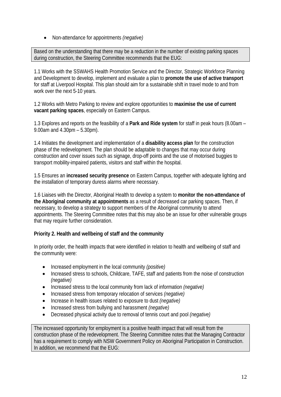• Non-attendance for appointments *(negative)*

Based on the understanding that there may be a reduction in the number of existing parking spaces during construction, the Steering Committee recommends that the EUG:

1.1 Works with the SSWAHS Health Promotion Service and the Director, Strategic Workforce Planning and Development to develop, implement and evaluate a plan to **promote the use of active transport** for staff at Liverpool Hospital. This plan should aim for a sustainable shift in travel mode to and from work over the next 5-10 years.

1.2 Works with Metro Parking to review and explore opportunities to **maximise the use of current vacant parking spaces**, especially on Eastern Campus.

1.3 Explores and reports on the feasibility of a **Park and Ride system** for staff in peak hours (8.00am – 9.00am and 4.30pm – 5.30pm).

1.4 Initiates the development and implementation of a **disability access plan** for the construction phase of the redevelopment. The plan should be adaptable to changes that may occur during construction and cover issues such as signage, drop-off points and the use of motorised buggies to transport mobility-impaired patients, visitors and staff within the hospital.

1.5 Ensures an **increased security presence** on Eastern Campus, together with adequate lighting and the installation of temporary duress alarms where necessary.

1.6 Liaises with the Director, Aboriginal Health to develop a system to **monitor the non-attendance of the Aboriginal community at appointments** as a result of decreased car parking spaces. Then, if necessary, to develop a strategy to support members of the Aboriginal community to attend appointments. The Steering Committee notes that this may also be an issue for other vulnerable groups that may require further consideration.

#### **Priority 2. Health and wellbeing of staff and the community**

In priority order, the health impacts that were identified in relation to health and wellbeing of staff and the community were:

- Increased employment in the local community *(positive)*
- Increased stress to schools, Childcare, TAFE, staff and patients from the noise of construction *(negative)*
- Increased stress to the local community from lack of information *(negative)*
- Increased stress from temporary relocation of services *(negative)*
- Increase in health issues related to exposure to dust *(negative)*
- Increased stress from bullying and harassment *(negative)*
- Decreased physical activity due to removal of tennis court and pool *(negative)*

The increased opportunity for employment is a positive health impact that will result from the construction phase of the redevelopment. The Steering Committee notes that the Managing Contractor has a requirement to comply with NSW Government Policy on Aboriginal Participation in Construction. In addition, we recommend that the EUG: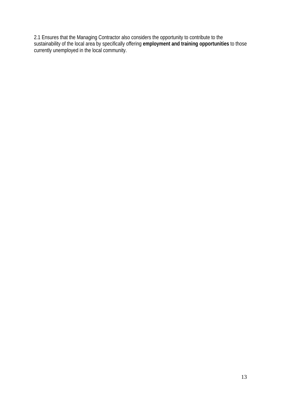2.1 Ensures that the Managing Contractor also considers the opportunity to contribute to the sustainability of the local area by specifically offering **employment and training opportunities** to those currently unemployed in the local community.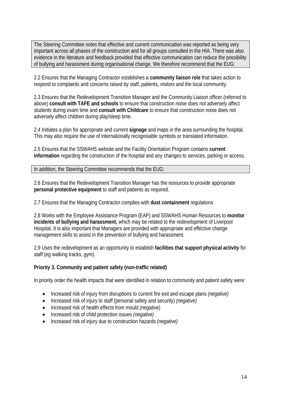The Steering Committee notes that effective and current communication was reported as being very important across all phases of the construction and for all groups consulted in the HIA. There was also evidence in the literature and feedback provided that effective communication can reduce the possibility of bullying and harassment during organisational change. We therefore recommend that the EUG:

2.2 Ensures that the Managing Contractor establishes a **community liaison role** that takes action to respond to complaints and concerns raised by staff, patients, visitors and the local community.

2.3 Ensures that the Redevelopment Transition Manager and the Community Liaison officer (referred to above) **consult with TAFE and schools** to ensure that construction noise does not adversely affect students during exam time and **consult with Childcare** to ensure that construction noise does not adversely affect children during play/sleep time.

2.4 Initiates a plan for appropriate and current **signage** and maps in the area surrounding the hospital. This may also require the use of internationally recognisable symbols or translated information.

2.5 Ensures that the SSWAHS website and the Facility Orientation Program contains **current information** regarding the construction of the hospital and any changes to services, parking or access.

In addition, the Steering Committee recommends that the EUG:

2.6 Ensures that the Redevelopment Transition Manager has the resources to provide appropriate **personal protective equipment** to staff and patients as required.

2.7 Ensures that the Managing Contractor complies with **dust containment** regulations

2.8 Works with the Employee Assistance Program (EAP) and SSWAHS Human Resources to **monitor incidents of bullying and harassment,** which may be related to the redevelopment of Liverpool Hospital. It is also important that Managers are provided with appropriate and effective change management skills to assist in the prevention of bullying and harassment.

2.9 Uses the redevelopment as an opportunity to establish **facilities that support physical activity** for staff (eg walking tracks, gym).

#### **Priority 3. Community and patient safety (non-traffic related)**

In priority order the health impacts that were identified in relation to community and patient safety were:

- Increased risk of injury from disruptions to current fire exit and escape plans *(negative)*
- Increased risk of injury to staff (personal safety and security) *(negative)*
- Increased risk of health effects from mould *(negative)*
- Increased risk of child protection issues *(negative)*
- Increased risk of injury due to construction hazards *(negative)*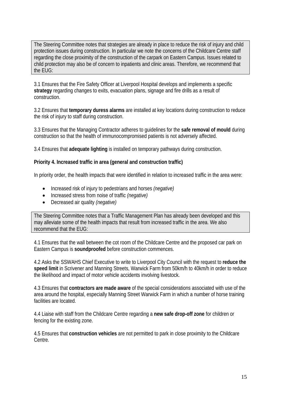The Steering Committee notes that strategies are already in place to reduce the risk of injury and child protection issues during construction. In particular we note the concerns of the Childcare Centre staff regarding the close proximity of the construction of the carpark on Eastern Campus. Issues related to child protection may also be of concern to inpatients and clinic areas. Therefore, we recommend that the EUG:

3.1 Ensures that the Fire Safety Officer at Liverpool Hospital develops and implements a specific **strategy** regarding changes to exits, evacuation plans, signage and fire drills as a result of construction.

3.2 Ensures that **temporary duress alarms** are installed at key locations during construction to reduce the risk of injury to staff during construction.

3.3 Ensures that the Managing Contractor adheres to guidelines for the **safe removal of mould** during construction so that the health of immunocompromised patients is not adversely affected.

3.4 Ensures that **adequate lighting** is installed on temporary pathways during construction.

#### **Priority 4. Increased traffic in area (general and construction traffic)**

In priority order, the health impacts that were identified in relation to increased traffic in the area were:

- Increased risk of injury to pedestrians and horses *(negative)*
- Increased stress from noise of traffic *(negative)*
- Decreased air quality *(negative)*

The Steering Committee notes that a Traffic Management Plan has already been developed and this may alleviate some of the health impacts that result from increased traffic in the area. We also recommend that the EUG:

4.1 Ensures that the wall between the cot room of the Childcare Centre and the proposed car park on Eastern Campus is **soundproofed** before construction commences.

4.2 Asks the SSWAHS Chief Executive to write to Liverpool City Council with the request to **reduce the speed limit** in Scrivener and Manning Streets, Warwick Farm from 50km/h to 40km/h in order to reduce the likelihood and impact of motor vehicle accidents involving livestock.

4.3 Ensures that **contractors are made aware** of the special considerations associated with use of the area around the hospital, especially Manning Street Warwick Farm in which a number of horse training facilities are located.

4.4 Liaise with staff from the Childcare Centre regarding a **new safe drop-off zone** for children or fencing for the existing zone.

4.5 Ensures that **construction vehicles** are not permitted to park in close proximity to the Childcare Centre.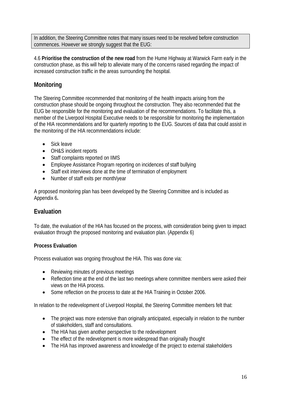In addition, the Steering Committee notes that many issues need to be resolved before construction commences. However we strongly suggest that the EUG:

4.6 **Prioritise the construction of the new road** from the Hume Highway at Warwick Farm early in the construction phase, as this will help to alleviate many of the concerns raised regarding the impact of increased construction traffic in the areas surrounding the hospital.

# **Monitoring**

The Steering Committee recommended that monitoring of the health impacts arising from the construction phase should be ongoing throughout the construction. They also recommended that the EUG be responsible for the monitoring and evaluation of the recommendations. To facilitate this, a member of the Liverpool Hospital Executive needs to be responsible for monitoring the implementation of the HIA recommendations and for quarterly reporting to the EUG. Sources of data that could assist in the monitoring of the HIA recommendations include:

- Sick leave
- OH&S incident reports
- Staff complaints reported on IIMS
- Employee Assistance Program reporting on incidences of staff bullying
- Staff exit interviews done at the time of termination of employment
- Number of staff exits per month/year

A proposed monitoring plan has been developed by the Steering Committee and is included as Appendix 6**.**

# **Evaluation**

To date, the evaluation of the HIA has focused on the process, with consideration being given to impact evaluation through the proposed monitoring and evaluation plan. (Appendix 6)

## **Process Evaluation**

Process evaluation was ongoing throughout the HIA. This was done via:

- Reviewing minutes of previous meetings
- Reflection time at the end of the last two meetings where committee members were asked their views on the HIA process.
- Some reflection on the process to date at the HIA Training in October 2006.

In relation to the redevelopment of Liverpool Hospital, the Steering Committee members felt that:

- The project was more extensive than originally anticipated, especially in relation to the number of stakeholders, staff and consultations.
- The HIA has given another perspective to the redevelopment
- The effect of the redevelopment is more widespread than originally thought
- The HIA has improved awareness and knowledge of the project to external stakeholders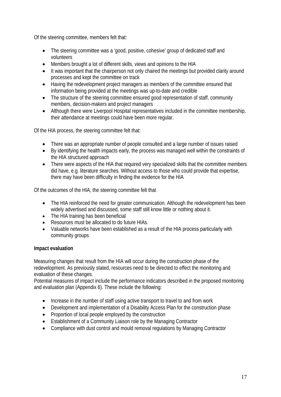Of the steering committee, members felt that:

- The steering committee was a 'good, positive, cohesive' group of dedicated staff and volunteers
- Members brought a lot of different skills, views and opinions to the HIA
- It was important that the chairperson not only chaired the meetings but provided clarity around processes and kept the committee on track
- Having the redevelopment project managers as members of the committee ensured that information being provided at the meetings was up-to-date and credible
- The structure of the steering committee ensured good representation of staff, community members, decision-makers and project managers
- Although there were Liverpool Hospital representatives included in the committee membership, their attendance at meetings could have been more regular.

Of the HIA process, the steering committee felt that:

- There was an appropriate number of people consulted and a large number of issues raised
- By identifying the health impacts early, the process was managed well within the constraints of the HIA structured approach
- There were aspects of the HIA that required very specialized skills that the committee members did have, e.g. literature searches. Without access to those who could provide that expertise, there may have been difficulty in finding the evidence for the HIA

Of the outcomes of the HIA, the steering committee felt that

- The HIA reinforced the need for greater communication. Although the redevelopment has been widely advertised and discussed, some staff still know little or nothing about it.
- The HIA training has been beneficial
- Resources must be allocated to do future HIAs.
- Valuable networks have been established as a result of the HIA process particularly with community groups

#### **Impact evaluation**

Measuring changes that result from the HIA will occur during the construction phase of the redevelopment. As previously stated, resources need to be directed to effect the monitoring and evaluation of these changes.

Potential measures of impact include the performance indicators described in the proposed monitoring and evaluation plan (Appendix 6). These include the following:

- Increase in the number of staff using active transport to travel to and from work
- Development and implementation of a Disability Access Plan for the construction phase
- Proportion of local people employed by the construction
- Establishment of a Community Liaison role by the Managing Contractor
- Compliance with dust control and mould removal regulations by Managing Contractor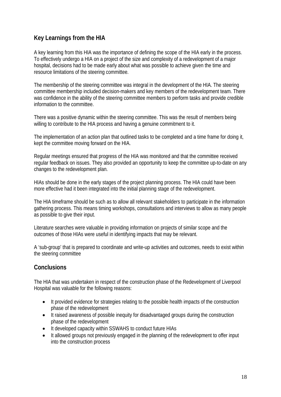# **Key Learnings from the HIA**

A key learning from this HIA was the importance of defining the scope of the HIA early in the process. To effectively undergo a HIA on a project of the size and complexity of a redevelopment of a major hospital, decisions had to be made early about what was possible to achieve given the time and resource limitations of the steering committee.

The membership of the steering committee was integral in the development of the HIA. The steering committee membership included decision-makers and key members of the redevelopment team. There was confidence in the ability of the steering committee members to perform tasks and provide credible information to the committee.

There was a positive dynamic within the steering committee. This was the result of members being willing to contribute to the HIA process and having a genuine commitment to it.

The implementation of an action plan that outlined tasks to be completed and a time frame for doing it, kept the committee moving forward on the HIA.

Regular meetings ensured that progress of the HIA was monitored and that the committee received regular feedback on issues. They also provided an opportunity to keep the committee up-to-date on any changes to the redevelopment plan.

HIAs should be done in the early stages of the project planning process. The HIA could have been more effective had it been integrated into the initial planning stage of the redevelopment.

The HIA timeframe should be such as to allow all relevant stakeholders to participate in the information gathering process. This means timing workshops, consultations and interviews to allow as many people as possible to give their input.

Literature searches were valuable in providing information on projects of similar scope and the outcomes of those HIAs were useful in identifying impacts that may be relevant.

A 'sub-group' that is prepared to coordinate and write-up activities and outcomes, needs to exist within the steering committee

# **Conclusions**

The HIA that was undertaken in respect of the construction phase of the Redevelopment of Liverpool Hospital was valuable for the following reasons:

- It provided evidence for strategies relating to the possible health impacts of the construction phase of the redevelopment
- It raised awareness of possible inequity for disadvantaged groups during the construction phase of the redevelopment
- It developed capacity within SSWAHS to conduct future HIAs
- It allowed groups not previously engaged in the planning of the redevelopment to offer input into the construction process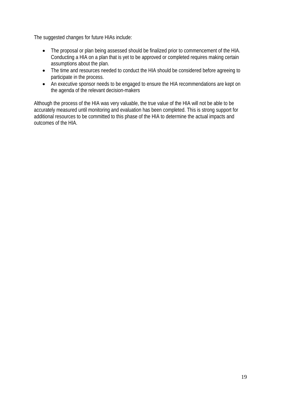The suggested changes for future HIAs include:

- The proposal or plan being assessed should be finalized prior to commencement of the HIA. Conducting a HIA on a plan that is yet to be approved or completed requires making certain assumptions about the plan.
- The time and resources needed to conduct the HIA should be considered before agreeing to participate in the process.
- An executive sponsor needs to be engaged to ensure the HIA recommendations are kept on the agenda of the relevant decision-makers

Although the process of the HIA was very valuable, the true value of the HIA will not be able to be accurately measured until monitoring and evaluation has been completed. This is strong support for additional resources to be committed to this phase of the HIA to determine the actual impacts and outcomes of the HIA.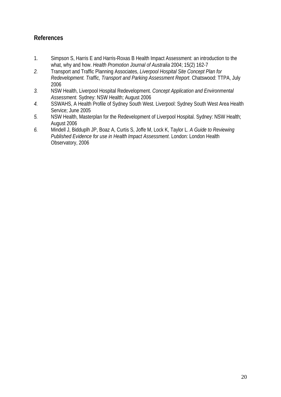# **References**

- 1. Simpson S, Harris E and Harris-Roxas B Health Impact Assessment: an introduction to the what, why and how. *Health Promotion Journal of Australia* 2004; 15(2) 162-7
- *2.* Transport and Traffic Planning Associates, *Liverpool Hospital Site Concept Plan for Redevelopment. Traffic, Transport and Parking Assessment Report*. Chatswood: TTPA, July 2006
- *3.* NSW Health, Liverpool Hospital Redevelopment. *Concept Application and Environmental Assessment.* Sydney: NSW Health; August 2006
- *4.* SSWAHS, A Health Profile of Sydney South West. Liverpool: Sydney South West Area Health Service; June 2005
- *5.* NSW Health, Masterplan for the Redevelopment of Liverpool Hospital. Sydney: NSW Health; August 2006
- *6.* Mindell J, Bidduplh JP, Boaz A, Curtis S, Joffe M, Lock K, Taylor L. *A Guide to Reviewing Published Evidence for use in Health Impact Assessment*. London: London Health Observatory, 2006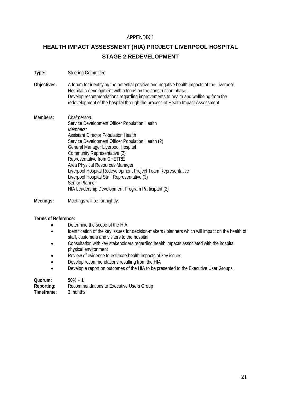#### APPENDIX 1

# **HEALTH IMPACT ASSESSMENT (HIA) PROJECT LIVERPOOL HOSPITAL STAGE 2 REDEVELOPMENT**

- **Type:** Steering Committee
- **Objectives:** A forum for identifying the potential positive and negative health impacts of the Liverpool Hospital redevelopment with a focus on the construction phase. Develop recommendations regarding improvements to health and wellbeing from the redevelopment of the hospital through the process of Health Impact Assessment.
- **Members:** *Chairperson:*  Service Development Officer Population Health *Members:*  Assistant Director Population Health Service Development Officer Population Health (2) General Manager Liverpool Hospital Community Representative (2) Representative from CHETRE Area Physical Resources Manager Liverpool Hospital Redevelopment Project Team Representative Liverpool Hospital Staff Representative (3) Senior Planner HIA Leadership Development Program Participant (2)
- **Meetings:** Meetings will be fortnightly.

#### **Terms of Reference:**

- Determine the scope of the HIA
- Identification of the key issues for decision-makers / planners which will impact on the health of staff, customers and visitors to the hospital
- Consultation with key stakeholders regarding health impacts associated with the hospital physical environment
- Review of evidence to estimate health impacts of key issues
- Develop recommendations resulting from the HIA
- Develop a report on outcomes of the HIA to be presented to the Executive User Groups.

| Quorum:    | $50\% + 1$                               |
|------------|------------------------------------------|
| Reporting: | Recommendations to Executive Users Group |
| Timeframe: | 3 months                                 |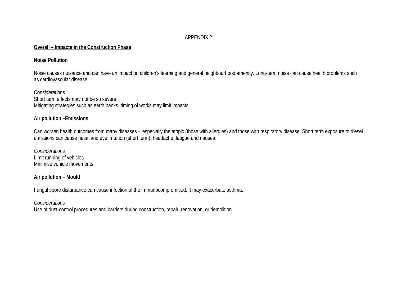#### APPENDIX 2

#### **Overall – Impacts in the Construction Phase**

#### **Noise Pollution**

Noise causes nuisance and can have an impact on children's learning and general neighbourhood amenity. Long-term noise can cause health problems such as cardiovascular disease.

*Considerations* Short term effects may not be so severe Mitigating strategies such as earth banks, timing of works may limit impacts

#### **Air pollution –Emissions**

Can worsen health outcomes from many diseases - especially the atopic (those with allergies) and those with respiratory disease. Short term exposure to diesel emissions can cause nasal and eye irritation (short term), headache, fatigue and nausea.

*Considerations* Limit running of vehicles Minimise vehicle movements

#### **Air pollution – Mould**

Fungal spore disturbance can cause infection of the immunocompromised. It may exacerbate asthma.

#### *Considerations*

Use of dust-control procedures and barriers during construction, repair, renovation, or demolition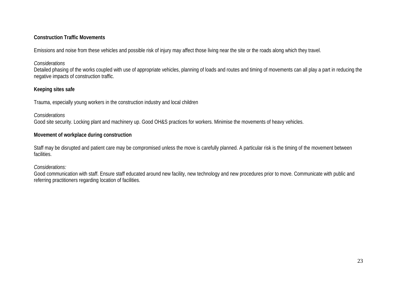#### **Construction Traffic Movements**

Emissions and noise from these vehicles and possible risk of injury may affect those living near the site or the roads along which they travel.

#### *Considerations*

Detailed phasing of the works coupled with use of appropriate vehicles, planning of loads and routes and timing of movements can all play a part in reducing the negative impacts of construction traffic.

## **Keeping sites safe**

Trauma, especially young workers in the construction industry and local children

#### *Considerations*

Good site security. Locking plant and machinery up. Good OH&S practices for workers. Minimise the movements of heavy vehicles.

### **Movement of workplace during construction**

Staff may be disrupted and patient care may be compromised unless the move is carefully planned. A particular risk is the timing of the movement between facilities.

### *Considerations:*

Good communication with staff. Ensure staff educated around new facility, new technology and new procedures prior to move. Communicate with public and referring practitioners regarding location of facilities.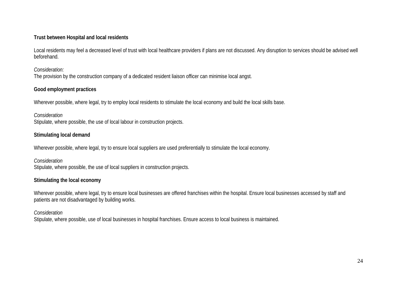#### **Trust between Hospital and local residents**

Local residents may feel a decreased level of trust with local healthcare providers if plans are not discussed. Any disruption to services should be advised well beforehand.

*Consideration:* The provision by the construction company of a dedicated resident liaison officer can minimise local angst.

### **Good employment practices**

Wherever possible, where legal, try to employ local residents to stimulate the local economy and build the local skills base.

*Consideration* Stipulate, where possible, the use of local labour in construction projects.

# **Stimulating local demand**

Wherever possible, where legal, try to ensure local suppliers are used preferentially to stimulate the local economy.

*Consideration* Stipulate, where possible, the use of local suppliers in construction projects.

# **Stimulating the local economy**

Wherever possible, where legal, try to ensure local businesses are offered franchises within the hospital. Ensure local businesses accessed by staff and patients are not disadvantaged by building works.

# *Consideration*

Stipulate, where possible, use of local businesses in hospital franchises. Ensure access to local business is maintained.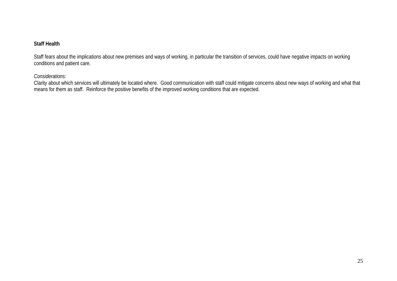#### **Staff Health**

Staff fears about the implications about new premises and ways of working, in particular the transition of services, could have negative impacts on working conditions and patient care.

#### *Considerations:*

 Clarity about which services will ultimately be located where. Good communication with staff could mitigate concerns about new ways of working and what that means for them as staff. Reinforce the positive benefits of the improved working conditions that are expected.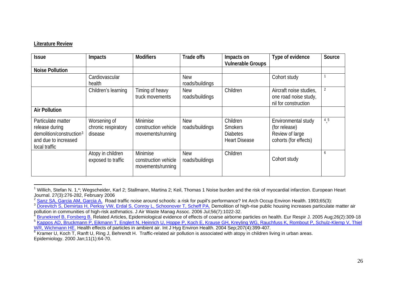#### **Literature Review**

| <b>Issue</b>                                                                                                          | Impacts                                        | <b>Modifiers</b>                                      | Trade offs                    | Impacts on<br><b>Vulnerable Groups</b>                                | Type of evidence                                                                 | Source |
|-----------------------------------------------------------------------------------------------------------------------|------------------------------------------------|-------------------------------------------------------|-------------------------------|-----------------------------------------------------------------------|----------------------------------------------------------------------------------|--------|
| <b>Noise Pollution</b>                                                                                                |                                                |                                                       |                               |                                                                       |                                                                                  |        |
|                                                                                                                       | Cardiovascular<br>health                       |                                                       | <b>New</b><br>roads/buildings |                                                                       | Cohort study                                                                     |        |
|                                                                                                                       | Children's learning                            | Timing of heavy<br>truck movements                    | <b>New</b><br>roads/buildings | Children                                                              | Aircraft noise studies,<br>one road noise study,<br>nil for construction         | 2      |
| <b>Air Pollution</b>                                                                                                  |                                                |                                                       |                               |                                                                       |                                                                                  |        |
| Particulate matter<br>release during<br>demolition/construction <sup>3</sup><br>and due to increased<br>local traffic | Worsening of<br>chronic respiratory<br>disease | Minimise<br>construction vehicle<br>movements/running | <b>New</b><br>roads/buildings | Children<br><b>Smokers</b><br><b>Diabetes</b><br><b>Heart Disease</b> | Environmental study<br>(for release)<br>Review of large<br>cohorts (for effects) | 4,5    |
|                                                                                                                       | Atopy in children<br>exposed to traffic        | Minimise<br>construction vehicle<br>movements/running | <b>New</b><br>roads/buildings | Children                                                              | Cohort study                                                                     | 6      |

<span id="page-25-0"></span> $1$  Willich, Stefan N. 1,\*; Wegscheider, Karl 2; Stallmann, Martina 2; Keil, Thomas 1 Noise burden and the risk of myocardial infarction. European Heart Journal. 27(3):276-282, February 2006 2

<span id="page-25-1"></span> $^2$  [Sanz SA, Garcia AM, Garcia A.](http://www.ncbi.nlm.nih.gov/entrez/query.fcgi?db=pubmed&cmd=Retrieve&dopt=AbstractPlus&list_uids=8282419&query_hl=7&itool=pubmed_docsum) Road traffic noise around schools: a risk for pupil's performance? Int Arch Occup Environ Health. 1993;65(3):

<span id="page-25-2"></span><sup>&</sup>lt;sup>3</sup> [Dorevitch S, Demirtas H, Perksy VW, Erdal S, Conroy L, Schoonover T, Scheff PA.](http://www.ncbi.nlm.nih.gov/entrez/query.fcgi?db=pubmed&cmd=Retrieve&dopt=AbstractPlus&list_uids=16878592&query_hl=14&itool=pubmed_docsum) Demolition of high-rise public housing increases particulate matter air pollution in communities of high-risk asthmatics. J Air Waste Manag Assoc. 2006 Jul;56(7):1022-32. 4

<span id="page-25-4"></span><span id="page-25-3"></span><sup>&</sup>lt;sup>4</sup> Brunekreef B, Forsberg B, Related Articles, Epidemiological evidence of effects of coarse airborne particles on health. Eur Respir J, 2005 Aug:26(2):309-18 <sup>5</sup> Kappos AD, Bruckmann P, Eikmann T, Englert N, Heinrich U, Hoppe P, Koch E, Krause GH, Kreyling WG, Rauchfuss K, Rombout P, Schulz-Klemp V, Thiel<br>WR, Wichmann HE. Health effects of particles in ambient air. Int J Hyg En

<span id="page-25-5"></span> $\frac{6}{6}$  $\frac{6}{6}$  $\frac{6}{6}$  Kramer U. Koch T. Ranft U. Ring J. Behrendt H. Traffic-related air pollution is associated with atopy in children living in urban areas. Epidemiology. 2000 Jan;11(1):64-70.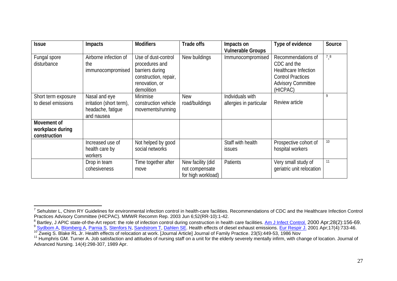| <b>Issue</b>                                    | Impacts                                                                      | <b>Modifiers</b>                                                                                                  | <b>Trade offs</b>                                         | Impacts on<br><b>Vulnerable Groups</b>      | Type of evidence                                                                                                               | Source |
|-------------------------------------------------|------------------------------------------------------------------------------|-------------------------------------------------------------------------------------------------------------------|-----------------------------------------------------------|---------------------------------------------|--------------------------------------------------------------------------------------------------------------------------------|--------|
| Fungal spore<br>disturbance                     | Airborne infection of<br>the<br>immunocompromised                            | Use of dust-control<br>procedures and<br>barriers during<br>construction, repair,<br>renovation, or<br>demolition | New buildings                                             | Immunocompromised                           | Recommendations of<br>CDC and the<br>Healthcare Infection<br><b>Control Practices</b><br><b>Advisory Committee</b><br>(HICPAC) | 78     |
| Short term exposure<br>to diesel emissions      | Nasal and eye<br>irritation (short term),<br>headache, fatigue<br>and nausea | Minimise<br>construction vehicle<br>movements/running                                                             | <b>New</b><br>road/buildings                              | Individuals with<br>allergies in particular | Review article                                                                                                                 | 9      |
| Movement of<br>workplace during<br>construction |                                                                              |                                                                                                                   |                                                           |                                             |                                                                                                                                |        |
|                                                 | Increased use of<br>health care by<br>workers                                | Not helped by good<br>social networks                                                                             |                                                           | Staff with health<br><i>issues</i>          | Prospective cohort of<br>hospital workers                                                                                      | 10     |
|                                                 | Drop in team<br>cohesiveness                                                 | Time together after<br>move                                                                                       | New facility (did<br>not compensate<br>for high workload) | Patients                                    | Very small study of<br>geriatric unit relocation                                                                               | 11     |

<span id="page-26-0"></span><sup>&</sup>lt;sup>7</sup> Sehulster L, Chinn RY Guidelines for environmental infection control in health-care facilities. Recommendations of CDC and the Healthcare Infection Control Practices Advisory Committee (HICPAC). MMWR Recomm Rep. 2003 Jun 6;52(RR-10):1-42.

<span id="page-26-2"></span><span id="page-26-1"></span><sup>&</sup>lt;sup>8</sup> Bartley, J APIC state-of-the-Art report: the role of infection control during construction in health care facilities. Am J Infect Control. 2000 Apr;28(2):156-69. <sup>9</sup> [Sydbom A](http://www.ncbi.nlm.nih.gov/entrez/query.fcgi?db=pubmed&cmd=Search&itool=pubmed_Abstract&term=%22Sydbom+A%22%5BAuthor%5D), [Blomberg A](http://www.ncbi.nlm.nih.gov/entrez/query.fcgi?db=pubmed&cmd=Search&itool=pubmed_Abstract&term=%22Blomberg+A%22%5BAuthor%5D), [Parnia S](http://www.ncbi.nlm.nih.gov/entrez/query.fcgi?db=pubmed&cmd=Search&itool=pubmed_Abstract&term=%22Parnia+S%22%5BAuthor%5D), [Stenfors N](http://www.ncbi.nlm.nih.gov/entrez/query.fcgi?db=pubmed&cmd=Search&itool=pubmed_Abstract&term=%22Stenfors+N%22%5BAuthor%5D), [Sandstrom T](http://www.ncbi.nlm.nih.gov/entrez/query.fcgi?db=pubmed&cmd=Search&itool=pubmed_Abstract&term=%22Sandstrom+T%22%5BAuthor%5D), [Dahlen SE](http://www.ncbi.nlm.nih.gov/entrez/query.fcgi?db=pubmed&cmd=Search&itool=pubmed_Abstract&term=%22Dahlen+SE%22%5BAuthor%5D). Health effects of diesel exhaust emissions. Eur Respir J. 2[0](http://www.ncbi.nlm.nih.gov/entrez/query.fcgi?db=pubmed&cmd=Search&itool=pubmed_Abstract&term=%22Sydbom+A%22%5BAuthor%5D)01 Apr;17(4):733-46.<br><sup>10</sup> Zweig S. Blake RL Jr. Health effects of relocation at work. [Jou

<span id="page-26-3"></span>

<span id="page-26-4"></span>Advanced Nursing. 14(4):298-307, 1989 Apr.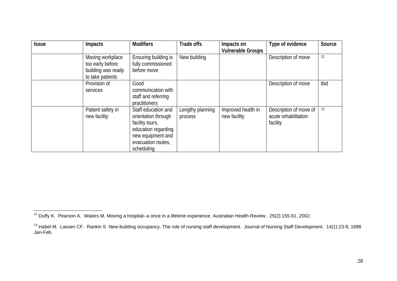| <b>Issue</b> | <b>Impacts</b>                                                                 | <b>Modifiers</b>                                                                                                                              | <b>Trade offs</b>           | Impacts on<br><b>Vulnerable Groups</b> | Type of evidence                                           | Source |
|--------------|--------------------------------------------------------------------------------|-----------------------------------------------------------------------------------------------------------------------------------------------|-----------------------------|----------------------------------------|------------------------------------------------------------|--------|
|              | Moving workplace<br>too early before<br>building was ready<br>to take patients | Ensuring building is<br>fully commissioned<br>before move                                                                                     | New building                |                                        | Description of move                                        | 12     |
|              | Provision of<br>services                                                       | Good<br>communication with<br>staff and referring<br>practitioners                                                                            |                             |                                        | Description of move                                        | ibid   |
|              | Patient safety in<br>new facility                                              | Staff education and<br>orientation through<br>facility tours,<br>education regarding<br>new equipment and<br>evacuation routes,<br>scheduling | Lengthy planning<br>process | Improved health in<br>new facility     | Description of move of<br>acute rehabilitation<br>facility | 13     |

<span id="page-27-0"></span><sup>&</sup>lt;sup>12</sup> Duffy K. Pearson A. Waters M. Moving a hospital--a once in a lifetime experience. Australian Health Review. 25(2):155-61, 2002.

<span id="page-27-1"></span><sup>&</sup>lt;sup>13</sup> Habel M. Lassen CF. Rankin S New-building occupancy. The role of nursing staff development. Journal of Nursing Staff Development. 14(1):23-9, 1998 Jan-Feb.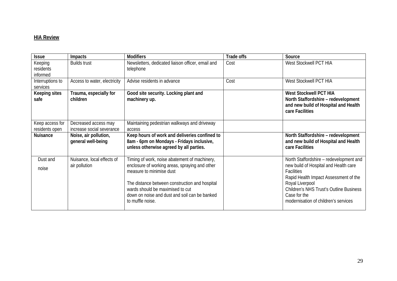#### **HIA Review**

| <b>Issue</b>                      | <b>Impacts</b>                                    | <b>Modifiers</b>                                                                                                                                                                                                                                                                       | Trade offs | Source                                                                                                                                                                                                                                                               |
|-----------------------------------|---------------------------------------------------|----------------------------------------------------------------------------------------------------------------------------------------------------------------------------------------------------------------------------------------------------------------------------------------|------------|----------------------------------------------------------------------------------------------------------------------------------------------------------------------------------------------------------------------------------------------------------------------|
| Keeping<br>residents<br>informed  | <b>Builds trust</b>                               | Newsletters, dedicated liaison officer, email and<br>telephone                                                                                                                                                                                                                         | Cost       | West Stockwell PCT HIA                                                                                                                                                                                                                                               |
| Interruptions to<br>services      | Access to water, electricity                      | Advise residents in advance                                                                                                                                                                                                                                                            | Cost       | West Stockwell PCT HIA                                                                                                                                                                                                                                               |
| Keeping sites<br>safe             | Trauma, especially for<br>children                | Good site security. Locking plant and<br>machinery up.                                                                                                                                                                                                                                 |            | <b>West Stockwell PCT HIA</b><br>North Staffordshire - redevelopment<br>and new build of Hospital and Health<br>care Facilities                                                                                                                                      |
| Keep access for<br>residents open | Decreased access may<br>increase social severance | Maintaining pedestrian walkways and driveway<br>access                                                                                                                                                                                                                                 |            |                                                                                                                                                                                                                                                                      |
| <b>Nuisance</b>                   | Noise, air pollution,<br>general well-being       | Keep hours of work and deliveries confined to<br>8am - 6pm on Mondays - Fridays inclusive,<br>unless otherwise agreed by all parties.                                                                                                                                                  |            | North Staffordshire - redevelopment<br>and new build of Hospital and Health<br>care Facilities                                                                                                                                                                       |
| Dust and<br>noise                 | Nuisance, local effects of<br>air pollution       | Timing of work, noise abatement of machinery,<br>enclosure of working areas, spraying and other<br>measure to minimise dust<br>The distance between construction and hospital<br>wards should be maximised to cut<br>down on noise and dust and soil can be banked<br>to muffle noise. |            | North Staffordshire - redevelopment and<br>new build of Hospital and Health care<br>Facilities<br>Rapid Health Impact Assessment of the<br>Royal Liverpool<br><b>Children's NHS Trust's Outline Business</b><br>Case for the<br>modernisation of children's services |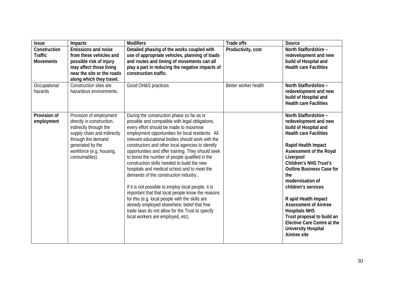| <b>Issue</b>                                       | Impacts                                                                                                                                                                                              | <b>Modifiers</b>                                                                                                                                                                                                                                                                                                                                                                                                                                                                                                                                                                                                                                                                                                                                                                                                                                              | <b>Trade offs</b>    | Source                                                                                                                                                                                                                                                                                                                                                                                                                                                                                           |
|----------------------------------------------------|------------------------------------------------------------------------------------------------------------------------------------------------------------------------------------------------------|---------------------------------------------------------------------------------------------------------------------------------------------------------------------------------------------------------------------------------------------------------------------------------------------------------------------------------------------------------------------------------------------------------------------------------------------------------------------------------------------------------------------------------------------------------------------------------------------------------------------------------------------------------------------------------------------------------------------------------------------------------------------------------------------------------------------------------------------------------------|----------------------|--------------------------------------------------------------------------------------------------------------------------------------------------------------------------------------------------------------------------------------------------------------------------------------------------------------------------------------------------------------------------------------------------------------------------------------------------------------------------------------------------|
| Construction<br><b>Traffic</b><br><b>Movements</b> | <b>Emissions and noise</b><br>from these vehicles and<br>possible risk of injury<br>may affect those living<br>near the site or the roads<br>along which they travel.                                | Detailed phasing of the works coupled with<br>use of appropriate vehicles, planning of loads<br>and routes and timing of movements can all<br>play a part in reducing the negative impacts of<br>construction traffic.                                                                                                                                                                                                                                                                                                                                                                                                                                                                                                                                                                                                                                        | Productivity, cost   | North Staffordshire -<br>redevelopment and new<br>build of Hospital and<br><b>Health care Facilities</b>                                                                                                                                                                                                                                                                                                                                                                                         |
| Occupational<br>hazards                            | Construction sites are<br>hazardous environments.                                                                                                                                                    | Good OH&S practices                                                                                                                                                                                                                                                                                                                                                                                                                                                                                                                                                                                                                                                                                                                                                                                                                                           | Better worker health | North Staffordshire -<br>redevelopment and new<br>build of Hospital and<br><b>Health care Facilities</b>                                                                                                                                                                                                                                                                                                                                                                                         |
| Provision of<br>employment                         | Provision of employment<br>directly in construction,<br>indirectly through the<br>supply chain and indirectly<br>through the demand<br>generated by the<br>workforce (e.g. housing,<br>consumables). | During the construction phase so far as is<br>possible and compatible with legal obligations,<br>every effort should be made to maximise<br>employment opportunities for local residents. All<br>relevant educational bodies should work with the<br>constructors and other local agencies to identify<br>opportunities and offer training. They should seek<br>to boost the number of people qualified in the<br>construction skills needed to build the new<br>hospitals and medical school and to meet the<br>demands of the construction industry<br>If it is not possible to employ local people, it is<br>important that that local people know the reasons<br>for this (e.g. local people with the skills are<br>already employed elsewhere; belief that free<br>trade laws do not allow for the Trust to specify<br>local workers are employed, etc). |                      | North Staffordshire -<br>redevelopment and new<br>build of Hospital and<br><b>Health care Facilities</b><br>Rapid Health Impact<br>Assessment of the Royal<br>Liverpool<br><b>Children's NHS Trust's</b><br><b>Outline Business Case for</b><br>the<br>modernisation of<br>children's services<br>R apid Health Impact<br><b>Assessment of Aintree</b><br><b>Hospitals NHS</b><br>Trust proposal to build an<br><b>Elective Care Centre at the</b><br><b>University Hospital</b><br>Aintree site |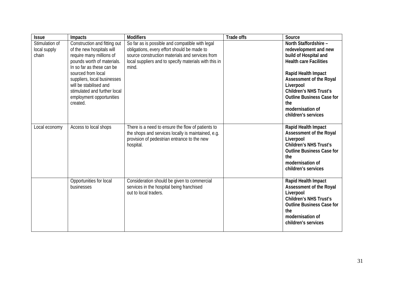| <b>Issue</b>                            | Impacts                                                                                                                                                                                                                                                                                                 | <b>Modifiers</b>                                                                                                                                                                                                    | <b>Trade offs</b> | Source                                                                                                                                                                                                                                                                                         |
|-----------------------------------------|---------------------------------------------------------------------------------------------------------------------------------------------------------------------------------------------------------------------------------------------------------------------------------------------------------|---------------------------------------------------------------------------------------------------------------------------------------------------------------------------------------------------------------------|-------------------|------------------------------------------------------------------------------------------------------------------------------------------------------------------------------------------------------------------------------------------------------------------------------------------------|
| Stimulation of<br>local supply<br>chain | Construction and fitting out<br>of the new hospitals will<br>require many millions of<br>pounds worth of materials.<br>In so far as these can be<br>sourced from local<br>suppliers, local businesses<br>will be stabilised and<br>stimulated and further local<br>employment opportunities<br>created. | So far as is possible and compatible with legal<br>obligations, every effort should be made to<br>source construction materials and services from<br>local suppliers and to specify materials with this in<br>mind. |                   | North Staffordshire -<br>redevelopment and new<br>build of Hospital and<br><b>Health care Facilities</b><br>Rapid Health Impact<br>Assessment of the Royal<br>Liverpool<br><b>Children's NHS Trust's</b><br><b>Outline Business Case for</b><br>the<br>modernisation of<br>children's services |
| Local economy                           | Access to local shops                                                                                                                                                                                                                                                                                   | There is a need to ensure the flow of patients to<br>the shops and services locally is maintained, e.g.<br>provision of pedestrian entrance to the new<br>hospital.                                                 |                   | Rapid Health Impact<br><b>Assessment of the Royal</b><br>Liverpool<br><b>Children's NHS Trust's</b><br><b>Outline Business Case for</b><br>the<br>modernisation of<br>children's services                                                                                                      |
|                                         | Opportunities for local<br>businesses                                                                                                                                                                                                                                                                   | Consideration should be given to commercial<br>services in the hospital being franchised<br>out to local traders.                                                                                                   |                   | Rapid Health Impact<br>Assessment of the Royal<br>Liverpool<br><b>Children's NHS Trust's</b><br><b>Outline Business Case for</b><br>the<br>modernisation of<br>children's services                                                                                                             |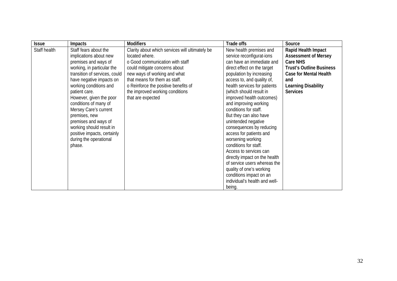| <b>Issue</b> | <b>Impacts</b>                | <b>Modifiers</b>                                | Trade offs                    | Source                          |
|--------------|-------------------------------|-------------------------------------------------|-------------------------------|---------------------------------|
| Staff health | Staff fears about the         | Clarity about which services will ultimately be | New health premises and       | Rapid Health Impact             |
|              | implications about new        | located where.                                  | service reconfigurat-ions     | <b>Assessment of Mersey</b>     |
|              | premises and ways of          | o Good communication with staff                 | can have an immediate and     | Care NHS                        |
|              | working, in particular the    | could mitigate concerns about                   | direct effect on the target   | <b>Trust's Outline Business</b> |
|              | transition of services, could | new ways of working and what                    | population by increasing      | <b>Case for Mental Health</b>   |
|              | have negative impacts on      | that means for them as staff.                   | access to, and quality of,    | and                             |
|              | working conditions and        | o Reinforce the positive benefits of            | health services for patients  | <b>Learning Disability</b>      |
|              | patient care.                 | the improved working conditions                 | (which should result in       | <b>Services</b>                 |
|              | However, given the poor       | that are expected                               | improved health outcomes)     |                                 |
|              | conditions of many of         |                                                 | and improving working         |                                 |
|              | Mersey Care's current         |                                                 | conditions for staff.         |                                 |
|              | premises, new                 |                                                 | But they can also have        |                                 |
|              | premises and ways of          |                                                 | unintended negative           |                                 |
|              | working should result in      |                                                 | consequences by reducing      |                                 |
|              | positive impacts, certainly   |                                                 | access for patients and       |                                 |
|              | during the operational        |                                                 | worsening working             |                                 |
|              | phase.                        |                                                 | conditions for staff.         |                                 |
|              |                               |                                                 | Access to services can        |                                 |
|              |                               |                                                 | directly impact on the health |                                 |
|              |                               |                                                 | of service users whereas the  |                                 |
|              |                               |                                                 | quality of one's working      |                                 |
|              |                               |                                                 | conditions impact on an       |                                 |
|              |                               |                                                 | individual's health and well- |                                 |
|              |                               |                                                 | being.                        |                                 |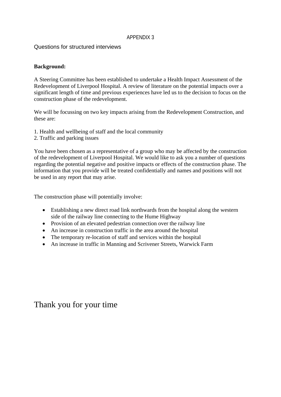#### APPENDIX 3

Questions for structured interviews

#### **Background:**

A Steering Committee has been established to undertake a Health Impact Assessment of the Redevelopment of Liverpool Hospital. A review of literature on the potential impacts over a significant length of time and previous experiences have led us to the decision to focus on the construction phase of the redevelopment.

We will be focussing on two key impacts arising from the Redevelopment Construction, and these are:

- 1. Health and wellbeing of staff and the local community
- 2. Traffic and parking issues

You have been chosen as a representative of a group who may be affected by the construction of the redevelopment of Liverpool Hospital. We would like to ask you a number of questions regarding the potential negative and positive impacts or effects of the construction phase. The information that you provide will be treated confidentially and names and positions will not be used in any report that may arise.

The construction phase will potentially involve:

- Establishing a new direct road link northwards from the hospital along the western side of the railway line connecting to the Hume Highway
- Provision of an elevated pedestrian connection over the railway line
- An increase in construction traffic in the area around the hospital
- The temporary re-location of staff and services within the hospital
- An increase in traffic in Manning and Scrivener Streets, Warwick Farm

# Thank you for your time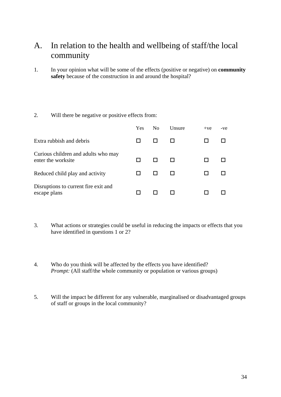# A. In relation to the health and wellbeing of staff/the local community

1. In your opinion what will be some of the effects (positive or negative) on **community safety** because of the construction in and around the hospital?

#### 2. Will there be negative or positive effects from:

|                                                           | Yes | No | <b>Unsure</b> | $+ve$ | -ve |
|-----------------------------------------------------------|-----|----|---------------|-------|-----|
| Extra rubbish and debris                                  |     |    |               |       |     |
| Curious children and adults who may<br>enter the worksite |     |    |               |       |     |
| Reduced child play and activity                           |     |    |               |       |     |
| Disruptions to current fire exit and<br>escape plans      |     |    |               |       |     |

- 3. What actions or strategies could be useful in reducing the impacts or effects that you have identified in questions 1 or 2?
- 4. Who do you think will be affected by the effects you have identified? *Prompt:* (All staff/the whole community or population or various groups)
- 5. Will the impact be different for any vulnerable, marginalised or disadvantaged groups of staff or groups in the local community?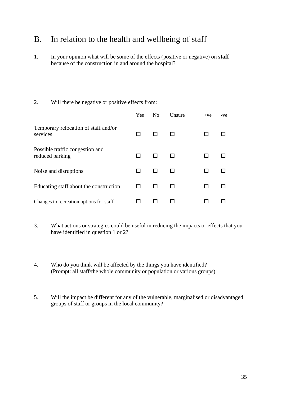# B. In relation to the health and wellbeing of staff

1. In your opinion what will be some of the effects (positive or negative) on **staff** because of the construction in and around the hospital?

#### 2. Will there be negative or positive effects from:

|                                                    | Yes | N <sub>o</sub> | Unsure | $+ve$ | -ve |
|----------------------------------------------------|-----|----------------|--------|-------|-----|
| Temporary relocation of staff and/or<br>services   |     |                |        |       |     |
| Possible traffic congestion and<br>reduced parking |     |                |        |       |     |
| Noise and disruptions                              | ப   |                |        |       |     |
| Educating staff about the construction             | ப   |                |        |       |     |
| Changes to recreation options for staff            |     |                |        |       |     |

- 3. What actions or strategies could be useful in reducing the impacts or effects that you have identified in question 1 or 2?
- 4. Who do you think will be affected by the things you have identified? (Prompt: all staff/the whole community or population or various groups)
- 5. Will the impact be different for any of the vulnerable, marginalised or disadvantaged groups of staff or groups in the local community?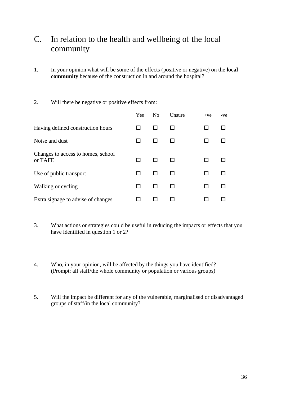# C. In relation to the health and wellbeing of the local community

- 1. In your opinion what will be some of the effects (positive or negative) on the **local community** because of the construction in and around the hospital?
- 2. Will there be negative or positive effects from:

|                                               | Yes | N <sub>0</sub> | Unsure | $+ve$ | $-ve$ |
|-----------------------------------------------|-----|----------------|--------|-------|-------|
| Having defined construction hours             |     |                |        |       |       |
| Noise and dust                                | H   |                |        |       |       |
| Changes to access to homes, school<br>or TAFE | ΙI  |                |        |       |       |
| Use of public transport                       | ΙI  |                |        | ΙI    |       |
| Walking or cycling                            | ΙI  |                |        |       |       |
| Extra signage to advise of changes            |     |                |        |       |       |

- 3. What actions or strategies could be useful in reducing the impacts or effects that you have identified in question 1 or 2?
- 4. Who, in your opinion, will be affected by the things you have identified? (Prompt: all staff/the whole community or population or various groups)
- 5. Will the impact be different for any of the vulnerable, marginalised or disadvantaged groups of staff/in the local community?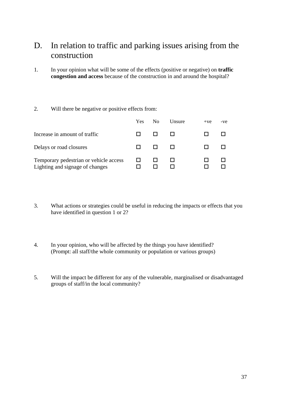# D. In relation to traffic and parking issues arising from the construction

1. In your opinion what will be some of the effects (positive or negative) on **traffic congestion and access** because of the construction in and around the hospital?

#### 2. Will there be negative or positive effects from:

|                                                                           | Yes. | No | Unsure | $+ve$ | -ve |
|---------------------------------------------------------------------------|------|----|--------|-------|-----|
| Increase in amount of traffic                                             |      |    |        |       |     |
| Delays or road closures                                                   |      |    |        |       |     |
| Temporary pedestrian or vehicle access<br>Lighting and signage of changes |      |    |        |       |     |

- 3. What actions or strategies could be useful in reducing the impacts or effects that you have identified in question 1 or 2?
- 4. In your opinion, who will be affected by the things you have identified? (Prompt: all staff/the whole community or population or various groups)
- 5. Will the impact be different for any of the vulnerable, marginalised or disadvantaged groups of staff/in the local community?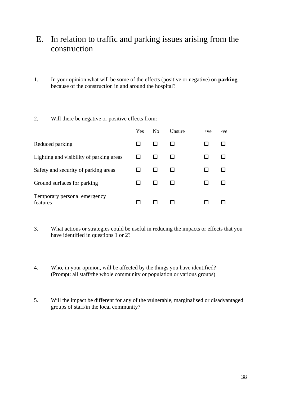# E. In relation to traffic and parking issues arising from the construction

- 1. In your opinion what will be some of the effects (positive or negative) on **parking** because of the construction in and around the hospital?
- 2. Will there be negative or positive effects from:

|                                          | Yes | N <sub>0</sub> | Unsure | $+ve$ | -ve |
|------------------------------------------|-----|----------------|--------|-------|-----|
| Reduced parking                          |     |                |        |       |     |
| Lighting and visibility of parking areas |     |                |        |       |     |
| Safety and security of parking areas     |     |                |        |       |     |
| Ground surfaces for parking              |     |                |        |       |     |
| Temporary personal emergency<br>features |     |                |        |       |     |

- 3. What actions or strategies could be useful in reducing the impacts or effects that you have identified in questions 1 or 2?
- 4. Who, in your opinion, will be affected by the things you have identified? (Prompt: all staff/the whole community or population or various groups)
- 5. Will the impact be different for any of the vulnerable, marginalised or disadvantaged groups of staff/in the local community?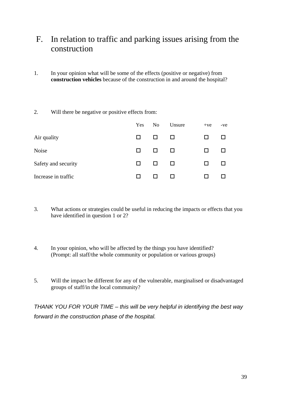# F. In relation to traffic and parking issues arising from the construction

1. In your opinion what will be some of the effects (positive or negative) from **construction vehicles** because of the construction in and around the hospital?

#### 2. Will there be negative or positive effects from:

|                     | Yes          | N <sub>0</sub> | Unsure       | $+ve$ | -ve |
|---------------------|--------------|----------------|--------------|-------|-----|
| Air quality         | ப            |                | $\mathbf{L}$ | H     |     |
| Noise               | $\mathsf{L}$ |                | $\mathbf{L}$ | LΙ    |     |
| Safety and security | $\mathsf{L}$ |                | $\perp$      | LΙ    |     |
| Increase in traffic | ΙI           |                |              |       |     |

- 3. What actions or strategies could be useful in reducing the impacts or effects that you have identified in question 1 or 2?
- 4. In your opinion, who will be affected by the things you have identified? (Prompt: all staff/the whole community or population or various groups)
- 5. Will the impact be different for any of the vulnerable, marginalised or disadvantaged groups of staff/in the local community?

*THANK YOU FOR YOUR TIME – this will be very helpful in identifying the best way forward in the construction phase of the hospital.*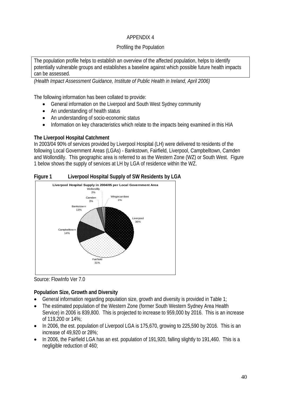# APPENDIX 4

## Profiling the Population

The population profile helps to establish an overview of the affected population, helps to identify potentially vulnerable groups and establishes a baseline against which possible future health impacts can be assessed.

*(Health Impact Assessment Guidance, Institute of Public Health in Ireland, April 2006)* 

The following information has been collated to provide:

- General information on the Liverpool and South West Sydney community
- An understanding of health status
- An understanding of socio-economic status
- Information on key characteristics which relate to the impacts being examined in this HIA

## **The Liverpool Hospital Catchment**

In 2003/04 90% of services provided by Liverpool Hospital (LH) were delivered to residents of the following Local Government Areas (LGAs) - Bankstown, Fairfield, Liverpool, Campbelltown, Camden and Wollondilly. This geographic area is referred to as the Western Zone (WZ) or South West. Figure 1 below shows the supply of services at LH by LGA of residence within the WZ.





Source: FlowInfo Ver 7.0

## **Population Size, Growth and Diversity**

- General information regarding population size, growth and diversity is provided in Table 1;
- The estimated population of the Western Zone (former South Western Sydney Area Health Service) in 2006 is 839,800. This is projected to increase to 959,000 by 2016. This is an increase of 119,200 or 14%;
- In 2006, the est. population of Liverpool LGA is 175,670, growing to 225,590 by 2016. This is an increase of 49,920 or 28%;
- In 2006, the Fairfield LGA has an est. population of 191,920, falling slightly to 191,460. This is a negligible reduction of 460;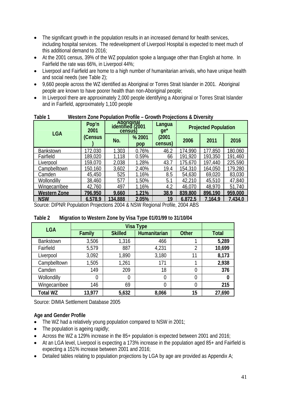- The significant growth in the population results in an increased demand for health services, including hospital services. The redevelopment of Liverpool Hospital is expected to meet much of this additional demand to 2016;
- At the 2001 census, 39% of the WZ population spoke a language other than English at home. In Fairfield the rate was 66%, in Liverpool 44%;
- Liverpool and Fairfield are home to a high number of humanitarian arrivals, who have unique health and social needs (see Table 2);
- 9,660 people across the WZ identified as Aboriginal or Torres Strait Islander in 2001. Aboriginal people are known to have poorer health than non-Aboriginal people;
- In Liverpool there are approximately 2,000 people identifying a Aboriginal or Torres Strait Islander and in Fairfield, approximately 1,100 people

| <b>LGA</b>           | Pop'n<br>2001 | Aboriginal<br>identified (2001<br>census) |               | Langua<br>$ge^*$ | <b>Projected Population</b> |                 |         |  |
|----------------------|---------------|-------------------------------------------|---------------|------------------|-----------------------------|-----------------|---------|--|
|                      | (Census       | No.                                       | % 2001<br>pop | (2001<br>census) | 2006                        | 2011            | 2016    |  |
| <b>Bankstown</b>     | 172,030       | 1.303                                     | 0.76%         | 46.2             | 74.990                      | 177.850         | 180,060 |  |
| Fairfield            | 189,020       | 1,118                                     | 0.59%         | 66               | 191,920                     | <u> 193,350</u> | 191,460 |  |
| Liverpool            | 159,070       | 2,038                                     | 1.28%         | 43.7             | 175,670                     | 197,440         | 225,590 |  |
| Campbelltown         | 150,160       | 3,602                                     | 2.40%         | 19.4             | 154,310                     | 164,050         | 179,280 |  |
| Camden               | 45,450        | 525                                       | 1.16%         | 8.5              | 54,630                      | 69,020          | 83,030  |  |
| Wollondilly          | 38,460        | 577                                       | 1.50%         | 5.1              | 42,210                      | 45,510          | 47,840  |  |
| <b>Wingecarribee</b> | 42,760        | 497                                       | 1.16%         | 4.2              | 46,070                      | 48,970          | 51,740  |  |
| Western Zone         | 796,950       | 9,660                                     | 1.21%         | 38.9             | 839,800                     | 896,190         | 959,000 |  |
| <b>NSW</b>           | 6.578.9       | 34,888                                    | 2.05%         | 19               | 6.872.5                     | 7.164.9         | 7.434.0 |  |

# **Table 1 Western Zone Population Profile – Crowth Projections & Diversity**

Source: DIPNR Population Projections 2004 & NSW Regional Profile, 2004 ABS

#### **Table 2 Migration to Western Zone by Visa Type 01/01/99 to 31/10/04**

| <b>LGA</b>       |        |                |              |              |              |
|------------------|--------|----------------|--------------|--------------|--------------|
|                  | Family | <b>Skilled</b> | Humanitarian | <b>Other</b> | <b>Total</b> |
| <b>Bankstown</b> | 3,506  | 1,316          | 466          |              | 5,289        |
| Fairfield        | 5,579  | 887            | 4,231        | 2            | 10,699       |
| Liverpool        | 3,092  | 1,890          | 3,180        | 11           | 8,173        |
| Campbelltown     | 1,505  | 1,261          | 171          |              | 2,938        |
| Camden           | 149    | 209            | 18           | 0            | 376          |
| Wollondilly      | 0      | 0              | 0            | 0            | 0            |
| Wingecarribee    | 146    | 69             | 0            | 0            | 215          |
| <b>Total WZ</b>  | 13,977 | 5,632          | 8,066        | 15           | 27,690       |

Source: DIMIA Settlement Database 2005

## **Age and Gender Profile**

- The WZ had a relatively young population compared to NSW in 2001;
- The population is ageing rapidly;
- Across the WZ a 129% increase in the 85+ population is expected between 2001 and 2016;
- At an LGA level, Liverpool is expecting a 173% increase in the population aged 85+ and Fairfield is expecting a 151% increase between 2001 and 2016;
- Detailed tables relating to population projections by LGA by age are provided as Appendix A;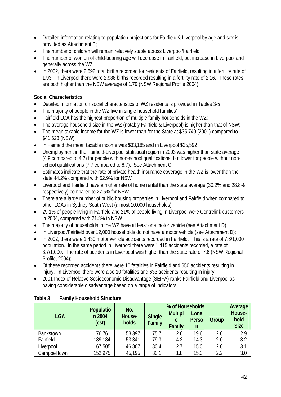- Detailed information relating to population projections for Fairfield & Liverpool by age and sex is provided as Attachment B;
- The number of children will remain relatively stable across Liverpool/Fairfield;
- The number of women of child-bearing age will decrease in Fairfield, but increase in Liverpool and generally across the WZ;
- In 2002, there were 2,692 total births recorded for residents of Fairfield, resulting in a fertility rate of 1.93. In Liverpool there were 2,988 births recorded resulting in a fertility rate of 2.16. These rates are both higher than the NSW average of 1.79 (NSW Regional Profile 2004).

## **Social Characteristics**

- Detailed information on social characteristics of WZ residents is provided in Tables 3-5
- The majority of people in the WZ live in single household families'
- Fairfield LGA has the highest proportion of multiple family households in the WZ;
- The average household size in the WZ (notably Fairfield & Liverpool) is higher than that of NSW;
- The mean taxable income for the WZ is lower than for the State at \$35,740 (2001) compared to \$41,623 (NSW)
- In Fairfield the mean taxable income was \$33,185 and in Liverpool \$35,592
- Unemployment in the Fairfield-Liverpool statistical region in 2003 was higher than state average (4.9 compared to 4.2) for people with non-school qualifications, but lower for people without nonschool qualifications (7.7 compared to 8.7). See Attachment C.
- Estimates indicate that the rate of private health insurance coverage in the WZ is lower than the state 44.2% compared with 52.9% for NSW
- Liverpool and Fairfield have a higher rate of home rental than the state average (30.2% and 28.8% respectively) compared to 27.5% for NSW
- There are a large number of public housing properties in Liverpool and Fairfield when compared to other LGAs in Sydney South West (almost 10,000 households)
- 29.1% of people living in Fairfield and 21% of people living in Liverpool were Centrelink customers in 2004, compared with 21.8% in NSW
- The majority of households in the WZ have at least one motor vehicle (see Attachment D)
- In Liverpool/Fairfield over 12,000 households do not have a motor vehicle (see Attachment D);
- In 2002, there were 1,430 motor vehicle accidents recorded in Fairfield. This is a rate of 7.6/1,000 population. In the same period in Liverpool there were 1,415 accidents recorded, a rate of 8.7/1,000. The rate of accidents in Liverpool was higher than the state rate of 7.6 (NSW Regional Profile, 2004);
- Of these recorded accidents there were 10 fatalities in Fairfield and 650 accidents resulting in injury. In Liverpool there were also 10 fatalities and 633 accidents resulting in injury;
- 2001 Index of Relative Socioeconomic Disadvantage (SEIFA) ranks Fairfield and Liverpool as having considerable disadvantage based on a range of indicators.

|                  |                                                        | No.    |                         | Average                       |                           |       |                               |  |
|------------------|--------------------------------------------------------|--------|-------------------------|-------------------------------|---------------------------|-------|-------------------------------|--|
| <b>LGA</b>       | <b>Populatio</b><br>n 2004<br>House-<br>(est)<br>holds |        | <b>Single</b><br>Family | <b>Multipl</b><br>e<br>Family | Lone<br><b>Perso</b><br>n | Group | House-<br>hold<br><b>Size</b> |  |
| <b>Bankstown</b> | 176,761                                                | 53,397 | 75.7                    | 2.6                           | 19.6                      | 2.0   | 2.9                           |  |
| Fairfield        | 189,184                                                | 53,341 | 79.3                    | 4.2                           | 14.3                      | 2.0   | 3.2                           |  |
| Liverpool        | 167,505                                                | 46,807 | 80.4                    | 2.7                           | 15.0                      | 2.0   | 3.1                           |  |
| Campbelltown     | 152,975                                                | 45,195 | 80.1                    | 1.8                           | 15.3                      | 2.2   | 3.0                           |  |

## **Table 3 Family Household Structure**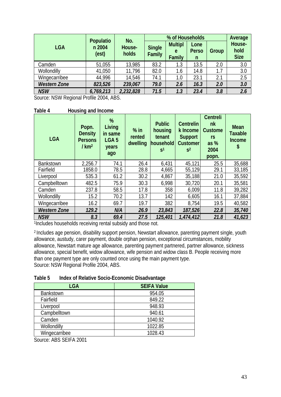|                     | Populatio       | No.             |                         | Average                       |                           |       |                               |
|---------------------|-----------------|-----------------|-------------------------|-------------------------------|---------------------------|-------|-------------------------------|
| <b>LGA</b>          | n 2004<br>(est) | House-<br>holds | <b>Single</b><br>Family | <b>Multipl</b><br>e<br>Family | Lone<br><b>Perso</b><br>n | Group | House-<br>hold<br><b>Size</b> |
| Camden              | 51,055          | 13,985          | 83.2                    | 1.3                           | 13.5                      | 2.0   | 3.0                           |
| Wollondilly         | 41,050          | 11,796          | 82.0                    | 1.6                           | 14.8                      | 1.7   | 3.0                           |
| Wingecarribee       | 44,996          | 14,546          | 74.1                    | 1.0                           | 23.1                      | 2.1   | 2.5                           |
| <b>Western Zone</b> | 823,526         | 239,067         | 79.0                    | 2.6                           | 16.3                      | 2.0   | 3.0                           |
| <b>NSW</b>          | 6,769,213       | 2,232,828       | 71.5                    | 1.3                           | 23.4                      | 3.8   | 2.6                           |

Source: NSW Regional Profile 2004, ABS.

**Table 4 Housing and Income** 

| <b>LGA</b>          | Popn.<br><b>Density</b><br><b>Persons</b><br>/km <sup>2</sup> | %<br>Living<br>in same<br>LGA <sub>5</sub><br>years<br>ago | $%$ in<br>rented<br>dwelling | <b>Public</b><br>housing<br>tenant<br>household<br>S <sup>1</sup> | <b>Centrelin</b><br>k Income<br><b>Support</b><br><b>Customer</b><br>S <sup>2</sup> | Centreli<br>nk<br><b>Custome</b><br><b>rs</b><br>as $%$<br>2004<br>popn. | <b>Mean</b><br><b>Taxable</b><br><b>Income</b><br>\$ |
|---------------------|---------------------------------------------------------------|------------------------------------------------------------|------------------------------|-------------------------------------------------------------------|-------------------------------------------------------------------------------------|--------------------------------------------------------------------------|------------------------------------------------------|
| <b>Bankstown</b>    | 2,256.7                                                       | 74.1                                                       | 26.4                         | 6,431                                                             | 45,121                                                                              | 25.5                                                                     | 35,688                                               |
| Fairfield           | 1858.0                                                        | 78.5                                                       | 28.8                         | 4,665                                                             | 55,129                                                                              | 29.1                                                                     | 33,185                                               |
| Liverpool           | 535.3                                                         | 61.2                                                       | 30.2                         | 4,867                                                             | 35,188                                                                              | 21.0                                                                     | 35,592                                               |
| Campbelltown        | 482.5                                                         | 75.9                                                       | 30.3                         | 6,998                                                             | 30,720                                                                              | 20.1                                                                     | 35,581                                               |
| Camden              | 237.8                                                         | 58.5                                                       | 17.8                         | 358                                                               | 6,009                                                                               | 11.8                                                                     | 39,282                                               |
| Wollondilly         | 15.2                                                          | 70.2                                                       | 13.7                         | 142                                                               | 6,605                                                                               | 16.1                                                                     | 37,884                                               |
| Wingecarribee       | 16.2                                                          | 69.7                                                       | 19.7                         | 382                                                               | 8,754                                                                               | 19.5                                                                     | 40,582                                               |
| <b>Western Zone</b> | 129.2                                                         | N/A                                                        | 26.9                         | 23,843                                                            | 187,526                                                                             | 22.8                                                                     | 35,740                                               |
| <b>NSW</b>          | 8.3                                                           | 69.4                                                       | 27.5                         | 125,401                                                           | 1,474,412                                                                           | 21.8                                                                     | 41,623                                               |

1Includes households receiving rental subsidy and those not.

2 Includes age pension, disability support pension, Newstart allowance, parenting payment single, youth allowance, austudy, carer payment, double orphan pension, exceptional circumstances, mobility allowance, Newstart mature age allowance, parenting payment partnered, partner allowance, sickness allowance, special benefit, widow allowance, wife pension and widow class B. People receiving more than one payment type are only counted once using the main payment type. Source: NSW Regional Profile 2004, ABS.

| Table 5 | Index of Relative Socio-Economic Disadvantage |
|---------|-----------------------------------------------|
|         |                                               |

| ັ                  |
|--------------------|
| <b>SEIFA Value</b> |
| 954.05             |
| 849.22             |
| 948.93             |
| 940.61             |
| 1040.92            |
| 1022.85            |
| 1028.43            |
|                    |

Source: ABS SEIFA 2001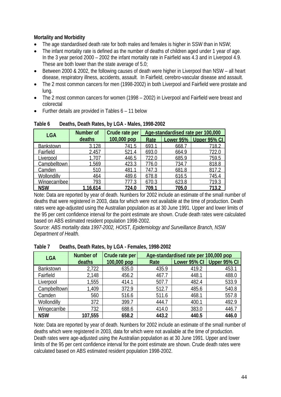## **Mortality and Morbidity**

- The age standardised death rate for both males and females is higher in SSW than in NSW;
- The infant mortality rate is defined as the number of deaths of children aged under 1 year of age. In the 3 year period 2000 – 2002 the infant mortality rate in Fairfield was 4.3 and in Liverpool 4.9. These are both lower than the state average of 5.0;
- Between 2000 & 2002, the following causes of death were higher in Liverpool than NSW all heart disease, respiratory illness, accidents, assault. In Fairfield, cerebro-vascular disease and assault.
- The 2 most common cancers for men (1998-2002) in both Liverpool and Fairfield were prostate and lung.
- The 2 most common cancers for women (1998 2002) in Liverpool and Fairfield were breast and colorectal
- Further details are provided in Tables 6 11 below

| <b>LGA</b>         | <b>Number of</b> | Crude rate per | Age-standardised rate per 100,000 |       |                          |  |
|--------------------|------------------|----------------|-----------------------------------|-------|--------------------------|--|
|                    | deaths           | 100,000 pop    | Rate                              |       | Lower 95%   Upper 95% CI |  |
| <b>Bankstown</b>   | 3.128            | 741.5          | 693.1                             | 668.7 | 718.2                    |  |
| Fairfield          | 2,457            | 521.4          | 693.0                             | 664.9 | 722.0                    |  |
| Liverpool          | 1,707            | 446.5          | 722.0                             | 685.9 | 759.5                    |  |
| Campbelltown       | 1.569            | 423.3          | 776.0                             | 734.7 | 818.8                    |  |
| Camden             | 510              | 481.1          | 747.3                             | 681.8 | 817.2                    |  |
| <b>Wollondilly</b> | 464              | 489.6          | 678.8                             | 616.5 | 745.4                    |  |
| Wingecarribee      | 793              | 777.3          | 670.3                             | 623.8 | 719.3                    |  |
| <b>NSW</b>         | 16.614           | 724.0          | 709.1                             | 705.0 | 713.2                    |  |

**Table 6 Deaths, Death Rates, by LGA - Males, 1998-2002** 

Note: Data are reported by year of death. Numbers for 2002 include an estimate of the small number of deaths that were registered in 2003, data for which were not available at the time of production. Death rates were age-adjusted using the Australian population as at 30 June 1991. Upper and lower limits of the 95 per cent confidence interval for the point estimate are shown. Crude death rates were calculated based on ABS estimated resident population 1998-2002.

*Source: ABS mortality data 1997-2002, HOIST, Epidemiology and Surveillance Branch, NSW Department of Health.* 

| <b>LGA</b>       | Age-standardised rate per 100,000 pop<br>Number of<br>Crude rate per |             |       |              |              |
|------------------|----------------------------------------------------------------------|-------------|-------|--------------|--------------|
|                  | deaths                                                               | 100,000 pop | Rate  | Lower 95% CI | Upper 95% CI |
| <b>Bankstown</b> | 2,722                                                                | 635.0       | 435.9 | 419.2        | 453.1        |
| Fairfield        | 2,148                                                                | 456.2       | 467.7 | 448.1        | 488.0        |
| Liverpool        | 1,555                                                                | 414.1       | 507.7 | 482.4        | 533.9        |
| Campbelltown     | 1,409                                                                | 372.9       | 512.7 | 485.6        | 540.8        |
| Camden           | 560                                                                  | 516.6       | 511.6 | 468.1        | 557.8        |
| Wollondilly      | 372                                                                  | 399.7       | 444.7 | 400.1        | 492.9        |
| Wingecarribe     | 732                                                                  | 688.6       | 414.0 | 383.0        | 446.7        |
| <b>NSW</b>       | 107,555                                                              | 658.2       | 443.2 | 440.5        | 446.0        |

**Table 7 Deaths, Death Rates, by LGA - Females, 1998-2002** 

Note: Data are reported by year of death. Numbers for 2002 include an estimate of the small number of deaths which were registered in 2003, data for which were not available at the time of production. Death rates were age-adjusted using the Australian population as at 30 June 1991. Upper and lower limits of the 95 per cent confidence interval for the point estimate are shown. Crude death rates were calculated based on ABS estimated resident population 1998-2002.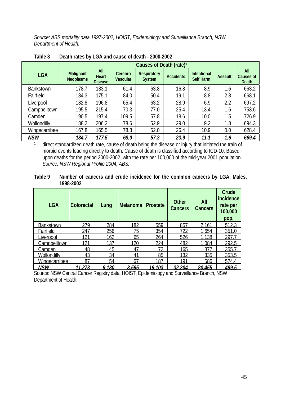*Source: ABS mortality data 1997-2002, HOIST, Epidemiology and Surveillance Branch, NSW Department of Health.* 

|                  |                                      | Causes of Death (rate) <sup>1</sup> |                            |                                                                                                       |                  |                                 |                |                                                |  |
|------------------|--------------------------------------|-------------------------------------|----------------------------|-------------------------------------------------------------------------------------------------------|------------------|---------------------------------|----------------|------------------------------------------------|--|
| <b>LGA</b>       | <b>Malignant</b><br><b>Neoplasms</b> | All<br>Heart<br><b>Disease</b>      | Cerebro<br><b>Vascular</b> | <b>Respiratory</b><br><b>System</b>                                                                   | <b>Accidents</b> | <b>Intentional</b><br>Self Harm | <b>Assault</b> | <b>All</b><br><b>Causes of</b><br><b>Death</b> |  |
| <b>Bankstown</b> | 178.7                                | 183.1                               | 61.4                       | 63.8                                                                                                  | 16.8             | 8.9                             | 1.6            | 663.2                                          |  |
| Fairfield        | 184.3                                | 175.1                               | 84.0                       | 50.4                                                                                                  | 19.1             | 8.8                             | 2.8            | 668.1                                          |  |
| Liverpool        | 182.8                                | 196.8                               | 65.4                       | 63.2                                                                                                  | 28.9             | 6.9                             | 2.2            | 697.2                                          |  |
| Campbelltown     | 195.5                                | 215.4                               | 70.3                       | 77.0                                                                                                  | 25.4             | 13.4                            | 1.6            | 753.6                                          |  |
| Camden           | 190.5                                | 197.4                               | 109.5                      | 57.8                                                                                                  | 18.6             | 10.0                            | 1.5            | 726.9                                          |  |
| Wollondilly      | 188.2                                | 206.3                               | 78.6                       | 52.9                                                                                                  | 29.0             | 9.2                             | 1.8            | 694.3                                          |  |
| Wingecarribee    | 167.8                                | 165.5                               | 78.3                       | 52.0                                                                                                  | 26.4             | 10.9                            | 0.0            | 628.4                                          |  |
| <b>NSW</b>       | 184.7                                | 177.5                               | 68.0                       | 57.3                                                                                                  | 23.9             | 11.1                            | 1.6            | 669.4                                          |  |
|                  |                                      |                                     |                            | direct standardized data rate, cause of death being the disease or injury that initiated the train of |                  |                                 |                |                                                |  |

**Table 8 Death rates by LGA and cause of death - 2000-2002** 

direct standardized death rate, cause of death being the disease or injury that initiated the train of morbid events leading directly to death. Cause of death is classified according to ICD-10. Based upon deaths for the period 2000-2002, with the rate per 100,000 of the mid-year 2001 population.  *Source: NSW Regional Profile 2004, ABS.* 

#### **Table 9 Number of cancers and crude incidence for the common cancers by LGA, Males, 1998-2002**

| <b>LGA</b>           | <b>Colorectal</b> | Lung  | Melanoma       | <b>Prostate</b> | <b>Other</b><br><b>Cancers</b> | All<br><b>Cancers</b> | Crude<br>incidence<br>rate per<br>100,000<br>pop. |
|----------------------|-------------------|-------|----------------|-----------------|--------------------------------|-----------------------|---------------------------------------------------|
| <b>Bankstown</b>     | 279               | 284   | 182            | 559             | 857                            | 2 161                 | 5123                                              |
| Fairfield            | 247               | 256   | 75             | 354             | 722                            | 1.654                 | 351.0                                             |
| Liverpool            | 121               | 162   | 65             | 264             | 526                            | 1.138                 | 297.                                              |
| Campbelltown         | 121               | 137   | 120            | 224             | 482                            | 1.084                 | 292.5                                             |
| Camden               | 48                | 45    | 47             | 72              | 165                            | 377                   | 355.7                                             |
| <b>Wollondilly</b>   | 43                | 34    | 4 <sup>1</sup> | 85              | 132                            | 335                   | 353.5                                             |
| <b>Wingecarribee</b> | 87                | 54    | 67             | 187             | 191                            | 586                   | 574.4                                             |
| <b>NSW</b>           | 11.273            | 9,180 | 8.595          | 19.103          | 32,304                         | 80.455                | 499.5                                             |

Source: NSW Central Cancer Registry data, HOIST, Epidemiology and Surveillance Branch, NSW Department of Health.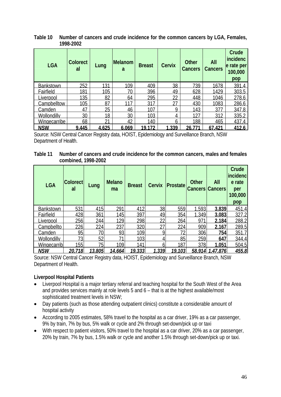| <b>LGA</b>          | <b>Colorect</b><br>al | Lung  | <b>Melanom</b><br>a | <b>Breast</b> | <b>Cervix</b> | <b>Other</b><br>Cancers | All<br><b>Cancers</b> | Crude<br>incidenc<br>e rate per<br>100,000<br>pop |
|---------------------|-----------------------|-------|---------------------|---------------|---------------|-------------------------|-----------------------|---------------------------------------------------|
| <b>Bankstown</b>    | 252                   | 131   | 109                 | 409           | 38            | 739                     | 1678                  | 391.4                                             |
| <b>Fairfield</b>    | 181                   | 105   | 70                  | 396           | 49            | 628                     | 1429                  | 303.5                                             |
| _iverpool           | 135                   | 82    | 64                  | 295           | າາ            | 448                     | 1046                  | 278.6                                             |
| <b>Campbelltow</b>  | 105                   | 87    | 117                 | 317           | 27            | 430                     | 1083                  | 286.6                                             |
| Camden              | 47                    | 25    | 46                  | 107           | Q             | 143                     | 377                   | 347.8                                             |
| Wollondilly         | 30                    | 18    | 30                  | 103           | 4             | 127                     | 312                   | 335.2                                             |
| <b>Wingecarribe</b> | 68                    | 21    | 42                  | 140           | 6             | 188                     | 465                   | 437.4                                             |
| <b>NSW</b>          | 9.445                 | 4.625 | 6.069               | 19.172        | .339          | 26.7                    | 67.421                | 412.6                                             |

**Table 10 Number of cancers and crude incidence for the common cancers by LGA, Females, 1998-2002** 

Source: NSW Central Cancer Registry data, HOIST, Epidemiology and Surveillance Branch, NSW Department of Health.

#### **Table 11 Number of cancers and crude incidence for the common cancers, males and females combined, 1998-2002**

| <b>LGA</b>         | <b>Colorect</b><br>al | Lung   | <b>Melano</b><br>ma | <b>Breast</b> | <b>Cervix</b> | Prostate | <b>Other</b> | All<br><b>Cancers Cancers</b> | Crude<br>incidenc<br>e rate<br>per<br>100,000<br>pop |
|--------------------|-----------------------|--------|---------------------|---------------|---------------|----------|--------------|-------------------------------|------------------------------------------------------|
| <b>Bankstown</b>   | 531                   | 415    | 291                 | 412           | 38            | 559      | 1.593        | 3.839                         | 451.4                                                |
| Fairfield          | 428                   | 361    | 145                 | 397           | 49            | 354      | 1.349        | 3.083                         | 327.2                                                |
| Liverpool          | 256l                  | 244    | 129                 | 298           | 22            | 264      | 971          | 2.184                         | 288.2                                                |
| Campbellto         | 226                   | 224    | 237                 | 320           |               | 224      | 909          | 2.167                         | 289.5                                                |
| Camden             | 95                    | 70     | 93                  | 109           |               | 72       | 306          | 754                           | 351.7                                                |
| <b>Wollondilly</b> | 73                    | 52     |                     | 103           |               | 85       | 259          | 647                           | 344.4                                                |
| Wingecarrib        | 155                   | 75     | 109                 | 141           | 6             | 187      | 378          | 1,051                         | 504.5                                                |
| <u>NSW</u>         | 20.718                | 13,805 | 14.664              | 19,333        | 1.339         | 19.103   | 58.914       | .47,876                       | 455.8                                                |

Source: NSW Central Cancer Registry data, HOIST, Epidemiology and Surveillance Branch, NSW Department of Health.

## **Liverpool Hospital Patients**

- Liverpool Hospital is a major tertiary referral and teaching hospital for the South West of the Area and provides services mainly at role levels 5 and 6 – that is at the highest available/most sophisticated treatment levels in NSW;
- Day patients (such as those attending outpatient clinics) constitute a considerable amount of hospital activity
- According to 2005 estimates, 58% travel to the hospital as a car driver, 19% as a car passenger, 9% by train, 7% by bus, 5% walk or cycle and 2% through set-down/pick up or taxi
- With respect to patient visitors, 50% travel to the hospital as a car driver, 20% as a car passenger, 20% by train, 7% by bus, 1.5% walk or cycle and another 1.5% through set-down/pick up or taxi.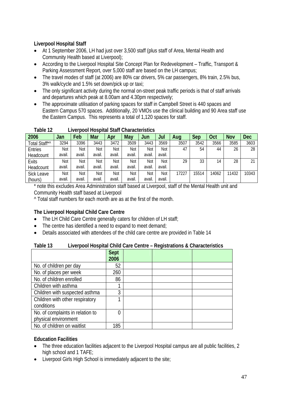# **Liverpool Hospital Staff**

- At 1 September 2006, LH had just over 3,500 staff (plus staff of Area, Mental Health and Community Health based at Liverpool);
- According to the Liverpool Hospital Site Concept Plan for Redevelopment Traffic, Transport & Parking Assessment Report, over 5,000 staff are based on the LH campus;
- The travel modes of staff (at 2006) are 80% car drivers, 5% car passengers, 8% train, 2.5% bus, 3% walk/cycle and 1.5% set down/pick up or taxi;
- The only significant activity during the normal on-street peak traffic periods is that of staff arrivals and departures which peak at 8.00am and 4.30pm respectively;
- The approximate utilisation of parking spaces for staff in Campbell Street is 440 spaces and Eastern Campus 570 spaces. Additionally, 20 VMOs use the clinical building and 90 Area staff use the Eastern Campus. This represents a total of 1,120 spaces for staff.

| 2006          | Jan    | Feb    | Mar    | Apr   | May    | Jun    | Jul        | Aug   | Sep   | Oct   | <b>Nov</b> | <b>Dec</b> |
|---------------|--------|--------|--------|-------|--------|--------|------------|-------|-------|-------|------------|------------|
| Total Staff*^ | 3294   | 3396   | 3443   | 3472  | 3509   | 3443   | 3569       | 3507  | 3542  | 3566  | 3585       | 3603       |
| Entries       | Not    | Not    | Not    | Not   | Not    | Not    | Not        | 47    | 54    | 44    | 26         | 28         |
| Headcount     | avail. | avail. | avail. | avail | avail. | avail. | avail.     |       |       |       |            |            |
| <b>Exits</b>  | Not    | Not    | Not    | Not   | Not    | Not    | <b>Not</b> | 29    | 33    | 14    | 28         | 21         |
| Headcount     | avail. | avail. | avail. | avail | avail. | avail. | avail.     |       |       |       |            |            |
| Sick Leave    | Not    | Not    | Not    | Not   | Not    | Not    | Not        | 17227 | 15514 | 14062 | 11432      | 10343      |
| (hours)       | avail. | avail. | avail. | avail | avail. | avail  | avail.     |       |       |       |            |            |

#### **Table 12 Liverpool Hospital Staff Characteristics**

\* note this excludes Area Administration staff based at Liverpool, staff of the Mental Health unit and Community Health staff based at Liverpool

^ Total staff numbers for each month are as at the first of the month.

# **The Liverpool Hospital Child Care Centre**

- The LH Child Care Centre generally caters for children of LH staff;
- The centre has identified a need to expand to meet demand;
- Details associated with attendees of the child care centre are provided in Table 14

## **Table 13 Liverpool Hospital Child Care Centre – Registrations & Characteristics**

|                                  | <b>Sept</b> |  |  |
|----------------------------------|-------------|--|--|
|                                  | 2006        |  |  |
| No. of children per day          | 52          |  |  |
| No. of places per week           | 260         |  |  |
| No. of children enrolled         | 86          |  |  |
| Children with asthma             |             |  |  |
| Children with suspected asthma   | 3           |  |  |
| Children with other respiratory  |             |  |  |
| conditions                       |             |  |  |
| No. of complaints in relation to | 0           |  |  |
| physical environment             |             |  |  |
| No. of children on waitlist      | 185         |  |  |

#### **Education Facilities**

- The three education facilities adjacent to the Liverpool Hospital campus are all public facilities, 2 high school and 1 TAFE;
- Liverpool Girls High School is immediately adjacent to the site;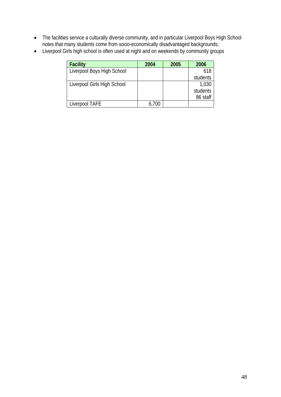- The facilities service a culturally diverse community, and in particular Liverpool Boys High School notes that many students come from socio-economically disadvantaged backgrounds;
- Liverpool Girls high school is often used at night and on weekends by community groups

| <b>Facility</b>             | 2004  | 2005 | 2006     |
|-----------------------------|-------|------|----------|
| Liverpool Boys High School  |       |      | 618      |
|                             |       |      | students |
| Liverpool Girls High School |       |      | 1,030    |
|                             |       |      | students |
|                             |       |      | 86 staff |
| Liverpool TAFE              | 6,700 |      |          |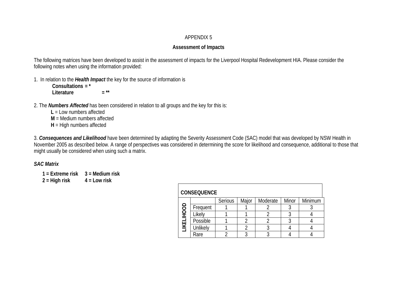#### APPENDIX 5

## **Assessment of Impacts**

The following matrices have been developed to assist in the assessment of impacts for the Liverpool Hospital Redevelopment HIA. Please consider the following notes when using the information provided:

1. In relation to the *Health Impact* the key for the source of information is

 **Consultations = \* Literature**  $=$ \*\*

2. The *Numbers Affected* has been considered in relation to all groups and the key for this is:

**L** = Low numbers affected

**M** = Medium numbers affected

**H** = High numbers affected

3. *Consequences and Likelihood* have been determined by adapting the Severity Assessment Code (SAC) model that was developed by NSW Health in November 2005 as described below. A range of perspectives was considered in determining the score for likelihood and consequence, additional to those that might usually be considered when using such a matrix.

*SAC Matrix* 

**1 = Extreme risk 3 = Medium risk** 

**2 = High risk 4 = Low risk**

|             | <b>CONSEQUENCE</b> |         |       |          |       |         |  |  |  |  |  |
|-------------|--------------------|---------|-------|----------|-------|---------|--|--|--|--|--|
|             |                    | Serious | Major | Moderate | Minor | Minimum |  |  |  |  |  |
| <b>UOOH</b> | Frequent           |         |       |          |       |         |  |  |  |  |  |
|             | Likely             |         |       |          |       |         |  |  |  |  |  |
|             | Possible           |         |       |          |       |         |  |  |  |  |  |
| LIKELI      | Unlikely           |         |       |          |       |         |  |  |  |  |  |
|             | Rare               |         |       |          |       |         |  |  |  |  |  |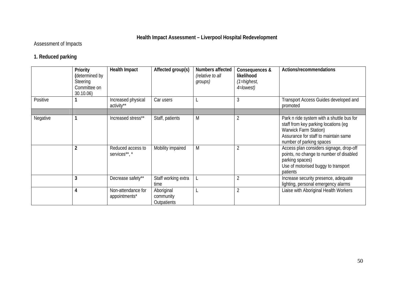# **Health Impact Assessment – Liverpool Hospital Redevelopment**

# Assessment of Impacts

# **1. Reduced parking**

|          | Priority<br>(determined by<br>Steering<br>Committee on<br>30.10.06) | <b>Health Impact</b>                | Affected group(s)                      | Numbers affected<br>(relative to all<br>groups) | Consequences &<br>likelihood<br>(1=highest,<br>4=lowest) | Actions/recommendations                                                                                                                                                        |
|----------|---------------------------------------------------------------------|-------------------------------------|----------------------------------------|-------------------------------------------------|----------------------------------------------------------|--------------------------------------------------------------------------------------------------------------------------------------------------------------------------------|
| Positive |                                                                     | Increased physical<br>activity**    | Car users                              |                                                 | 3                                                        | Transport Access Guides developed and<br>promoted                                                                                                                              |
|          |                                                                     |                                     |                                        |                                                 |                                                          |                                                                                                                                                                                |
| Negative |                                                                     | Increased stress**                  | Staff, patients                        | M                                               | $\overline{2}$                                           | Park n ride system with a shuttle bus for<br>staff from key parking locations (eq<br>Warwick Farm Station)<br>Assurance for staff to maintain same<br>number of parking spaces |
|          |                                                                     | Reduced access to<br>services**, *  | Mobility impaired                      | M                                               | $\overline{2}$                                           | Access plan considers signage, drop-off<br>points, no change to number of disabled<br>parking spaces)<br>Use of motorised buggy to transport<br>patients                       |
|          | 3                                                                   | Decrease safety**                   | Staff working extra<br>time            |                                                 | $\overline{2}$                                           | Increase security presence, adequate<br>lighting, personal emergency alarms                                                                                                    |
|          |                                                                     | Non-attendance for<br>appointments* | Aboriginal<br>community<br>Outpatients |                                                 | $\overline{2}$                                           | Liaise with Aboriginal Health Workers                                                                                                                                          |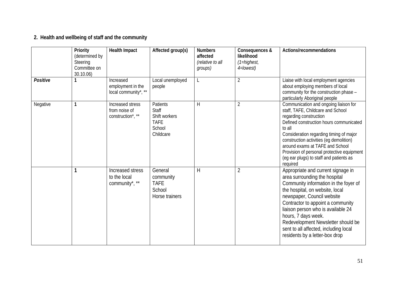# **2. Health and wellbeing of staff and the community**

|          | Priority<br>(determined by<br>Steering<br>Committee on<br>30.10.06) | <b>Health Impact</b>                                   | Affected group(s)                                                        | <b>Numbers</b><br>affected<br>(relative to all<br>groups) | Consequences &<br>likelihood<br>$(1)$ -highest,<br>4=lowest) | Actions/recommendations                                                                                                                                                                                                                                                                                                                                                                          |
|----------|---------------------------------------------------------------------|--------------------------------------------------------|--------------------------------------------------------------------------|-----------------------------------------------------------|--------------------------------------------------------------|--------------------------------------------------------------------------------------------------------------------------------------------------------------------------------------------------------------------------------------------------------------------------------------------------------------------------------------------------------------------------------------------------|
| Positive |                                                                     | Increased<br>employment in the<br>local community*, ** | Local unemployed<br>people                                               | L                                                         | $\overline{2}$                                               | Liaise with local employment agencies<br>about employing members of local<br>community for the construction phase -<br>particularly Aboriginal people                                                                                                                                                                                                                                            |
| Negative |                                                                     | Increased stress<br>from noise of<br>construction*, ** | Patients<br>Staff<br>Shift workers<br><b>TAFE</b><br>School<br>Childcare | H                                                         | $\overline{2}$                                               | Communication and ongoing liaison for<br>staff, TAFE, Childcare and School<br>regarding construction<br>Defined construction hours communicated<br>to all<br>Consideration regarding timing of major<br>construction activities (eg demolition)<br>around exams at TAFE and School<br>Provision of personal protective equipment<br>(eg ear plugs) to staff and patients as<br>required          |
|          |                                                                     | Increased stress<br>to the local<br>community*, **     | General<br>community<br><b>TAFE</b><br>School<br>Horse trainers          | H                                                         | $\overline{2}$                                               | Appropriate and current signage in<br>area surrounding the hospital<br>Community information in the foyer of<br>the hospital, on website, local<br>newspaper, Council website<br>Contractor to appoint a community<br>liaison person who is available 24<br>hours, 7 days week.<br>Redevelopment Newsletter should be<br>sent to all affected, including local<br>residents by a letter-box drop |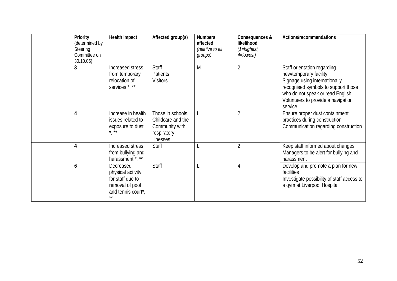| Priority<br>(determined by<br>Steering<br>Committee on<br>30.10.06 | <b>Health Impact</b>                                                                                 | Affected group(s)                                                                    | <b>Numbers</b><br>affected<br>(relative to all<br>groups) | Consequences &<br>likelihood<br>$(1 = higher)$<br>4=lowest) | Actions/recommendations                                                                                                                                                                                            |
|--------------------------------------------------------------------|------------------------------------------------------------------------------------------------------|--------------------------------------------------------------------------------------|-----------------------------------------------------------|-------------------------------------------------------------|--------------------------------------------------------------------------------------------------------------------------------------------------------------------------------------------------------------------|
| 3                                                                  | Increased stress<br>from temporary<br>relocation of<br>services <sup>*</sup> , **                    | <b>Staff</b><br>Patients<br><b>Visitors</b>                                          | M                                                         | $\overline{2}$                                              | Staff orientation regarding<br>new/temporary facility<br>Signage using internationally<br>recognised symbols to support those<br>who do not speak or read English<br>Volunteers to provide a navigation<br>service |
| 4                                                                  | Increase in health<br>issues related to<br>exposure to dust<br>$\star$ $\star\star$                  | Those in schools,<br>Childcare and the<br>Community with<br>respiratory<br>illnesses |                                                           | $\overline{2}$                                              | Ensure proper dust containment<br>practices during construction<br>Communication regarding construction                                                                                                            |
| 4                                                                  | Increased stress<br>from bullying and<br>harassment *, **                                            | Staff                                                                                |                                                           | $\overline{2}$                                              | Keep staff informed about changes<br>Managers to be alert for bullying and<br>harassment                                                                                                                           |
| 6                                                                  | Decreased<br>physical activity<br>for staff due to<br>removal of pool<br>and tennis court*,<br>$***$ | <b>Staff</b>                                                                         |                                                           | 4                                                           | Develop and promote a plan for new<br>facilities<br>Investigate possibility of staff access to<br>a gym at Liverpool Hospital                                                                                      |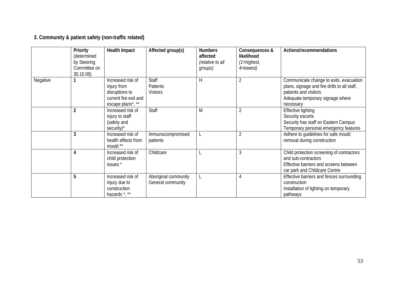# **3. Community & patient safety (non-traffic related)**

|          | Priority<br>(determined<br>by Steering<br>Committee on<br>30.10.06) | <b>Health Impact</b>                                                                             | Affected group(s)                           | <b>Numbers</b><br>affected<br>(relative to all<br>groups) | Consequences &<br>likelihood<br>$(1)$ -highest,<br>4=lowest) | Actions/recommendations                                                                                                                                           |
|----------|---------------------------------------------------------------------|--------------------------------------------------------------------------------------------------|---------------------------------------------|-----------------------------------------------------------|--------------------------------------------------------------|-------------------------------------------------------------------------------------------------------------------------------------------------------------------|
| Negative |                                                                     | Increased risk of<br>injury from<br>disruptions to<br>current fire exit and<br>escape plans*, ** | <b>Staff</b><br>Patients<br><b>Visitors</b> | H                                                         | $\overline{2}$                                               | Communicate change to exits, evacuation<br>plans, signage and fire drills to all staff,<br>patients and visitors<br>Adequate temporary signage where<br>necessary |
|          | $\overline{2}$                                                      | Increased risk of<br>injury to staff<br>(safety and<br>security)*                                | Staff                                       | M                                                         | $\overline{2}$                                               | <b>Effective lighting</b><br>Security escorts<br>Security has staff on Eastern Campus<br>Temporary personal emergency features                                    |
|          | 3                                                                   | Increased risk of<br>health effects from<br>mould **                                             | Immunocompromised<br>patients               |                                                           | $\overline{2}$                                               | Adhere to guidelines for safe mould<br>removal during construction                                                                                                |
|          | 4                                                                   | Increased risk of<br>child protection<br>issues <sup>*</sup>                                     | Childcare                                   |                                                           | 3                                                            | Child protection screening of contractors<br>and sub-contractors<br>Effective barriers and screens between<br>car park and Childcare Centre                       |
|          | 5                                                                   | Increased risk of<br>injury due to<br>construction<br>hazards *, **                              | Aboriginal community<br>General community   |                                                           | 4                                                            | Effective barriers and fences surrounding<br>construction<br>Installation of lighting on temporary<br>pathways                                                    |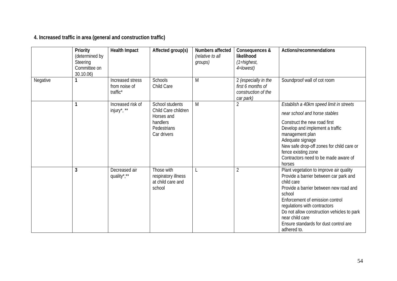**4. Increased traffic in area (general and construction traffic)** 

|          | Priority<br>(determined by<br>Steering<br>Committee on<br>30.10.06) | <b>Health Impact</b>                          | Affected group(s)                                                                              | Numbers affected<br>(relative to all<br>groups) | Consequences &<br>likelihood<br>(1=highest,<br>4=lowest)                      | Actions/recommendations                                                                                                                                                                                                                                                                                                                         |
|----------|---------------------------------------------------------------------|-----------------------------------------------|------------------------------------------------------------------------------------------------|-------------------------------------------------|-------------------------------------------------------------------------------|-------------------------------------------------------------------------------------------------------------------------------------------------------------------------------------------------------------------------------------------------------------------------------------------------------------------------------------------------|
| Negative |                                                                     | Increased stress<br>from noise of<br>traffic* | <b>Schools</b><br>Child Care                                                                   | M                                               | 2 (especially in the<br>first 6 months of<br>construction of the<br>car park) | Soundproof wall of cot room                                                                                                                                                                                                                                                                                                                     |
|          |                                                                     | Increased risk of<br>injury*, **              | School students<br>Child Care children<br>Horses and<br>handlers<br>Pedestrians<br>Car drivers | M                                               | 2                                                                             | Establish a 40km speed limit in streets<br>near school and horse stables<br>Construct the new road first<br>Develop and implement a traffic<br>management plan<br>Adequate signage<br>New safe drop-off zones for child care or<br>fence existing zone<br>Contractors need to be made aware of<br>horses                                        |
|          | 3                                                                   | Decreased air<br>quality*,**                  | Those with<br>respiratory illness<br>at child care and<br>school                               |                                                 | $\overline{2}$                                                                | Plant vegetation to improve air quality<br>Provide a barrier between car park and<br>child care<br>Provide a barrier between new road and<br>school<br>Enforcement of emission control<br>regulations with contractors<br>Do not allow construction vehicles to park<br>near child care<br>Ensure standards for dust control are<br>adhered to. |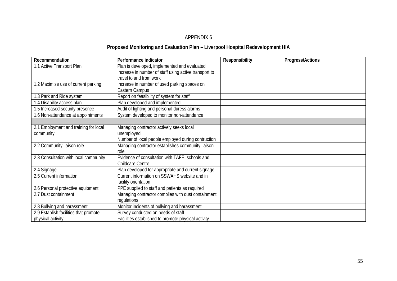#### APPENDIX 6

# **Proposed Monitoring and Evaluation Plan – Liverpool Hospital Redevelopment HIA**

| Recommendation                        | Performance indicator                                 | Responsibility | Progress/Actions |
|---------------------------------------|-------------------------------------------------------|----------------|------------------|
| 1.1 Active Transport Plan             | Plan is developed, implemented and evaluated          |                |                  |
|                                       | Increase in number of staff using active transport to |                |                  |
|                                       | travel to and from work                               |                |                  |
| 1.2 Maximise use of current parking   | Increase in number of used parking spaces on          |                |                  |
|                                       | Eastern Campus                                        |                |                  |
| 1.3 Park and Ride system              | Report on feasibility of system for staff             |                |                  |
| 1.4 Disability access plan            | Plan developed and implemented                        |                |                  |
| 1.5 Increased security presence       | Audit of lighting and personal duress alarms          |                |                  |
| 1.6 Non-attendance at appointments    | System developed to monitor non-attendance            |                |                  |
|                                       |                                                       |                |                  |
| 2.1 Employment and training for local | Managing contractor actively seeks local              |                |                  |
| community                             | unemployed                                            |                |                  |
|                                       | Number of local people employed during contruction    |                |                  |
| 2.2 Community liaison role            | Managing contractor establishes community liaison     |                |                  |
|                                       | role                                                  |                |                  |
| 2.3 Consultation with local community | Evidence of consultation with TAFE, schools and       |                |                  |
|                                       | Childcare Centre                                      |                |                  |
| 2.4 Signage                           | Plan developed for appropriate and current signage    |                |                  |
| 2.5 Current information               | Current information on SSWAHS website and in          |                |                  |
|                                       | facility orientation                                  |                |                  |
| 2.6 Personal protective equipment     | PPE supplied to staff and patients as required        |                |                  |
| 2.7 Dust containment                  | Managing contractor complies with dust containment    |                |                  |
|                                       | regulations                                           |                |                  |
| 2.8 Bullying and harassment           | Monitor incidents of bullying and harassment          |                |                  |
| 2.9 Establish facilities that promote | Survey conducted on needs of staff                    |                |                  |
| physical activity                     | Facilities established to promote physical activity   |                |                  |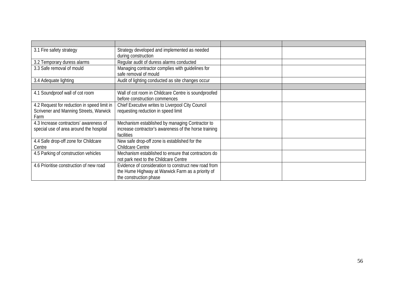| 3.1 Fire safety strategy                                                          | Strategy developed and implemented as needed<br>during construction                                                                 |  |
|-----------------------------------------------------------------------------------|-------------------------------------------------------------------------------------------------------------------------------------|--|
| 3.2 Temporary duress alarms                                                       | Regular audit of duress alarms conducted                                                                                            |  |
| 3.3 Safe removal of mould                                                         | Managing contractor complies with quidelines for<br>safe removal of mould                                                           |  |
| 3.4 Adequate lighting                                                             | Audit of lighting conducted as site changes occur                                                                                   |  |
|                                                                                   |                                                                                                                                     |  |
| 4.1 Soundproof wall of cot room                                                   | Wall of cot room in Childcare Centre is soundproofed<br>before construction commences                                               |  |
| 4.2 Request for reduction in speed limit in                                       | Chief Executive writes to Liverpool City Council                                                                                    |  |
| Scrivener and Manning Streets, Warwick<br>Farm                                    | requesting reduction in speed limit                                                                                                 |  |
| 4.3 Increase contractors' awareness of<br>special use of area around the hospital | Mechanism established by managing Contractor to<br>increase contractor's awareness of the horse training<br>facilities              |  |
| 4.4 Safe drop-off zone for Childcare<br>Centre                                    | New safe drop-off zone is established for the<br><b>Childcare Centre</b>                                                            |  |
| 4.5 Parking of construction vehicles                                              | Mechanism established to ensure that contractors do<br>not park next to the Childcare Centre                                        |  |
| 4.6 Prioritise construction of new road                                           | Evidence of consideration to construct new road from<br>the Hume Highway at Warwick Farm as a priority of<br>the construction phase |  |